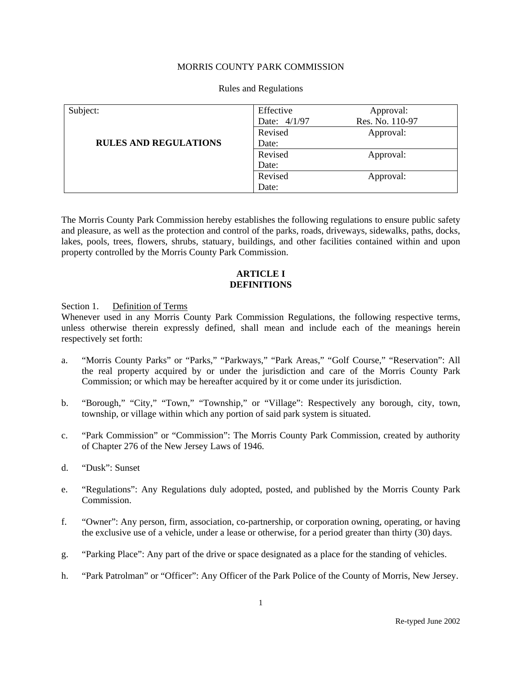# MORRIS COUNTY PARK COMMISSION

#### Subject: **RULES AND REGULATIONS**  Effective Approval: Date: 4/1/97 Res. No. 110-97 Revised Approval: Date: Revised Approval: Date: Revised Approval: Date:

#### Rules and Regulations

The Morris County Park Commission hereby establishes the following regulations to ensure public safety and pleasure, as well as the protection and control of the parks, roads, driveways, sidewalks, paths, docks, lakes, pools, trees, flowers, shrubs, statuary, buildings, and other facilities contained within and upon property controlled by the Morris County Park Commission.

### **ARTICLE I DEFINITIONS**

Section 1. Definition of Terms

Whenever used in any Morris County Park Commission Regulations, the following respective terms, unless otherwise therein expressly defined, shall mean and include each of the meanings herein respectively set forth:

- a. "Morris County Parks" or "Parks," "Parkways," "Park Areas," "Golf Course," "Reservation": All the real property acquired by or under the jurisdiction and care of the Morris County Park Commission; or which may be hereafter acquired by it or come under its jurisdiction.
- b. "Borough," "City," "Town," "Township," or "Village": Respectively any borough, city, town, township, or village within which any portion of said park system is situated.
- c. "Park Commission" or "Commission": The Morris County Park Commission, created by authority of Chapter 276 of the New Jersey Laws of 1946.
- d. "Dusk": Sunset
- e. "Regulations": Any Regulations duly adopted, posted, and published by the Morris County Park Commission.
- f. "Owner": Any person, firm, association, co-partnership, or corporation owning, operating, or having the exclusive use of a vehicle, under a lease or otherwise, for a period greater than thirty (30) days.
- g. "Parking Place": Any part of the drive or space designated as a place for the standing of vehicles.
- h. "Park Patrolman" or "Officer": Any Officer of the Park Police of the County of Morris, New Jersey.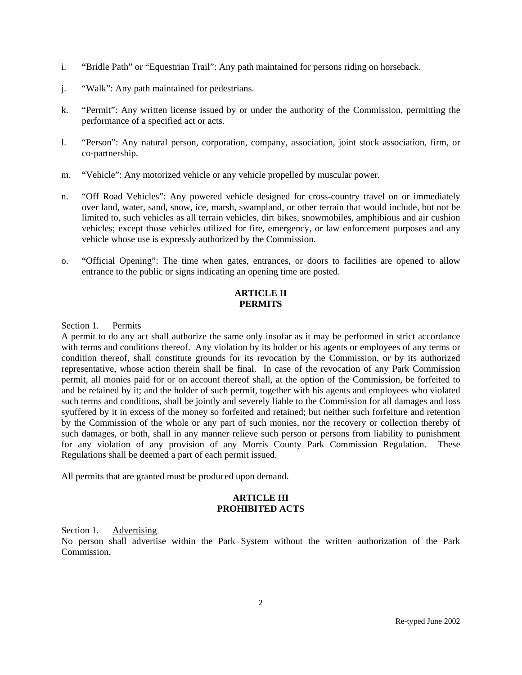- i. "Bridle Path" or "Equestrian Trail": Any path maintained for persons riding on horseback.
- j. "Walk": Any path maintained for pedestrians.
- k. "Permit": Any written license issued by or under the authority of the Commission, permitting the performance of a specified act or acts.
- l. "Person": Any natural person, corporation, company, association, joint stock association, firm, or co-partnership.
- m. "Vehicle": Any motorized vehicle or any vehicle propelled by muscular power.
- n. "Off Road Vehicles": Any powered vehicle designed for cross-country travel on or immediately over land, water, sand, snow, ice, marsh, swampland, or other terrain that would include, but not be limited to, such vehicles as all terrain vehicles, dirt bikes, snowmobiles, amphibious and air cushion vehicles; except those vehicles utilized for fire, emergency, or law enforcement purposes and any vehicle whose use is expressly authorized by the Commission.
- o. "Official Opening": The time when gates, entrances, or doors to facilities are opened to allow entrance to the public or signs indicating an opening time are posted.

# **ARTICLE II PERMITS**

Section 1. Permits

A permit to do any act shall authorize the same only insofar as it may be performed in strict accordance with terms and conditions thereof. Any violation by its holder or his agents or employees of any terms or condition thereof, shall constitute grounds for its revocation by the Commission, or by its authorized representative, whose action therein shall be final. In case of the revocation of any Park Commission permit, all monies paid for or on account thereof shall, at the option of the Commission, be forfeited to and be retained by it; and the holder of such permit, together with his agents and employees who violated such terms and conditions, shall be jointly and severely liable to the Commission for all damages and loss syuffered by it in excess of the money so forfeited and retained; but neither such forfeiture and retention by the Commission of the whole or any part of such monies, nor the recovery or collection thereby of such damages, or both, shall in any manner relieve such person or persons from liability to punishment for any violation of any provision of any Morris County Park Commission Regulation. These Regulations shall be deemed a part of each permit issued.

All permits that are granted must be produced upon demand.

# **ARTICLE III PROHIBITED ACTS**

Section 1. Advertising

No person shall advertise within the Park System without the written authorization of the Park Commission.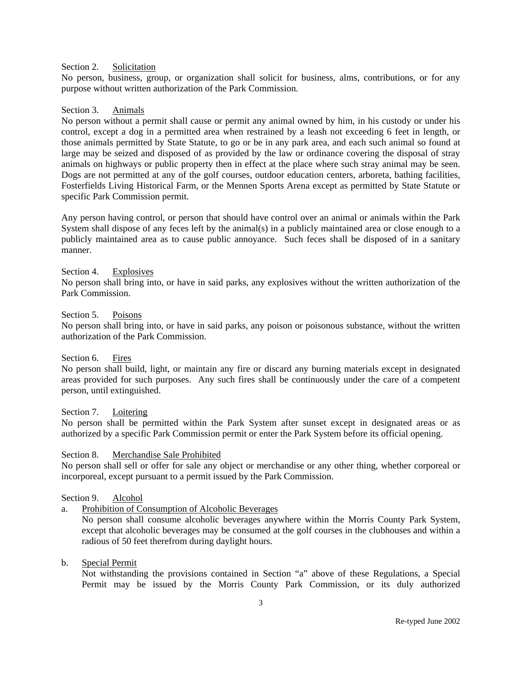#### Section 2. Solicitation

No person, business, group, or organization shall solicit for business, alms, contributions, or for any purpose without written authorization of the Park Commission.

#### Section 3. Animals

No person without a permit shall cause or permit any animal owned by him, in his custody or under his control, except a dog in a permitted area when restrained by a leash not exceeding 6 feet in length, or those animals permitted by State Statute, to go or be in any park area, and each such animal so found at large may be seized and disposed of as provided by the law or ordinance covering the disposal of stray animals on highways or public property then in effect at the place where such stray animal may be seen. Dogs are not permitted at any of the golf courses, outdoor education centers, arboreta, bathing facilities, Fosterfields Living Historical Farm, or the Mennen Sports Arena except as permitted by State Statute or specific Park Commission permit.

Any person having control, or person that should have control over an animal or animals within the Park System shall dispose of any feces left by the animal(s) in a publicly maintained area or close enough to a publicly maintained area as to cause public annoyance. Such feces shall be disposed of in a sanitary manner.

#### Section 4. Explosives

No person shall bring into, or have in said parks, any explosives without the written authorization of the Park Commission.

#### Section 5. Poisons

No person shall bring into, or have in said parks, any poison or poisonous substance, without the written authorization of the Park Commission.

#### Section 6. Fires

No person shall build, light, or maintain any fire or discard any burning materials except in designated areas provided for such purposes. Any such fires shall be continuously under the care of a competent person, until extinguished.

#### Section 7. Loitering

No person shall be permitted within the Park System after sunset except in designated areas or as authorized by a specific Park Commission permit or enter the Park System before its official opening.

#### Section 8. Merchandise Sale Prohibited

No person shall sell or offer for sale any object or merchandise or any other thing, whether corporeal or incorporeal, except pursuant to a permit issued by the Park Commission.

#### Section 9. Alcohol

a. Prohibition of Consumption of Alcoholic Beverages

No person shall consume alcoholic beverages anywhere within the Morris County Park System, except that alcoholic beverages may be consumed at the golf courses in the clubhouses and within a radious of 50 feet therefrom during daylight hours.

#### b. Special Permit

Not withstanding the provisions contained in Section "a" above of these Regulations, a Special Permit may be issued by the Morris County Park Commission, or its duly authorized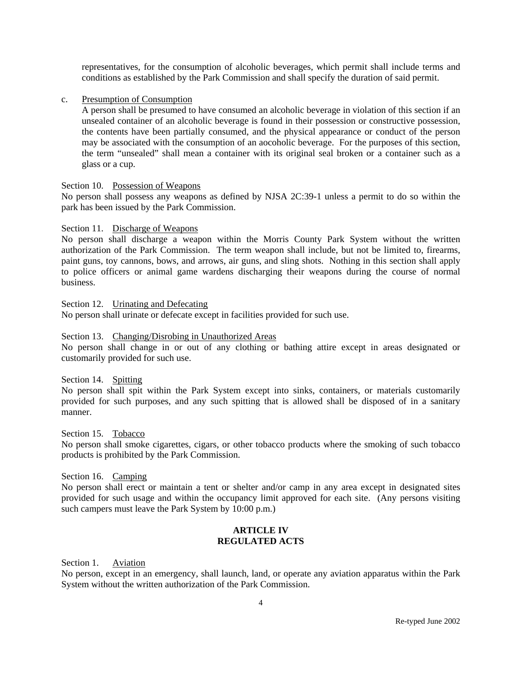representatives, for the consumption of alcoholic beverages, which permit shall include terms and conditions as established by the Park Commission and shall specify the duration of said permit.

#### c. Presumption of Consumption

A person shall be presumed to have consumed an alcoholic beverage in violation of this section if an unsealed container of an alcoholic beverage is found in their possession or constructive possession, the contents have been partially consumed, and the physical appearance or conduct of the person may be associated with the consumption of an aocoholic beverage. For the purposes of this section, the term "unsealed" shall mean a container with its original seal broken or a container such as a glass or a cup.

#### Section 10. Possession of Weapons

No person shall possess any weapons as defined by NJSA 2C:39-1 unless a permit to do so within the park has been issued by the Park Commission.

Section 11. Discharge of Weapons

No person shall discharge a weapon within the Morris County Park System without the written authorization of the Park Commission. The term weapon shall include, but not be limited to, firearms, paint guns, toy cannons, bows, and arrows, air guns, and sling shots. Nothing in this section shall apply to police officers or animal game wardens discharging their weapons during the course of normal business.

Section 12. Urinating and Defecating

No person shall urinate or defecate except in facilities provided for such use.

# Section 13. Changing/Disrobing in Unauthorized Areas

No person shall change in or out of any clothing or bathing attire except in areas designated or customarily provided for such use.

Section 14. Spitting

No person shall spit within the Park System except into sinks, containers, or materials customarily provided for such purposes, and any such spitting that is allowed shall be disposed of in a sanitary manner.

Section 15. Tobacco No person shall smoke cigarettes, cigars, or other tobacco products where the smoking of such tobacco products is prohibited by the Park Commission.

Section 16. Camping

No person shall erect or maintain a tent or shelter and/or camp in any area except in designated sites provided for such usage and within the occupancy limit approved for each site. (Any persons visiting such campers must leave the Park System by 10:00 p.m.)

## **ARTICLE IV REGULATED ACTS**

Section 1. Aviation

No person, except in an emergency, shall launch, land, or operate any aviation apparatus within the Park System without the written authorization of the Park Commission.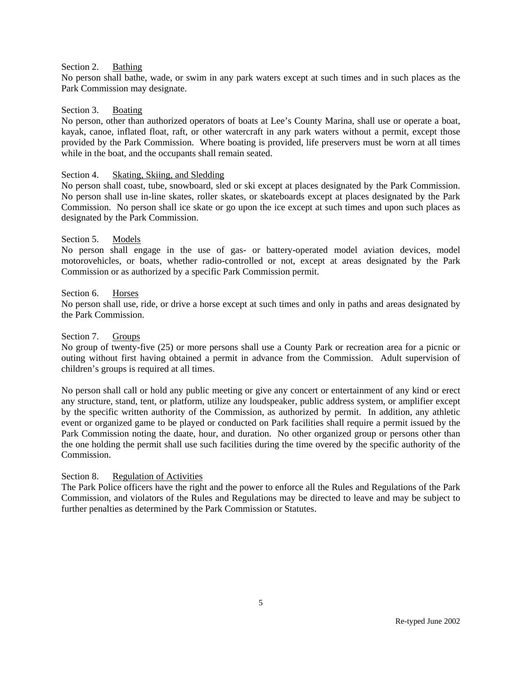#### Section 2. Bathing

No person shall bathe, wade, or swim in any park waters except at such times and in such places as the Park Commission may designate.

#### Section 3. Boating

No person, other than authorized operators of boats at Lee's County Marina, shall use or operate a boat, kayak, canoe, inflated float, raft, or other watercraft in any park waters without a permit, except those provided by the Park Commission. Where boating is provided, life preservers must be worn at all times while in the boat, and the occupants shall remain seated.

#### Section 4. Skating, Skiing, and Sledding

No person shall coast, tube, snowboard, sled or ski except at places designated by the Park Commission. No person shall use in-line skates, roller skates, or skateboards except at places designated by the Park Commission. No person shall ice skate or go upon the ice except at such times and upon such places as designated by the Park Commission.

### Section 5. Models

No person shall engage in the use of gas- or battery-operated model aviation devices, model motorovehicles, or boats, whether radio-controlled or not, except at areas designated by the Park Commission or as authorized by a specific Park Commission permit.

#### Section 6. Horses

No person shall use, ride, or drive a horse except at such times and only in paths and areas designated by the Park Commission.

#### Section 7. Groups

No group of twenty-five (25) or more persons shall use a County Park or recreation area for a picnic or outing without first having obtained a permit in advance from the Commission. Adult supervision of children's groups is required at all times.

No person shall call or hold any public meeting or give any concert or entertainment of any kind or erect any structure, stand, tent, or platform, utilize any loudspeaker, public address system, or amplifier except by the specific written authority of the Commission, as authorized by permit. In addition, any athletic event or organized game to be played or conducted on Park facilities shall require a permit issued by the Park Commission noting the daate, hour, and duration. No other organized group or persons other than the one holding the permit shall use such facilities during the time overed by the specific authority of the Commission.

#### Section 8. Regulation of Activities

The Park Police officers have the right and the power to enforce all the Rules and Regulations of the Park Commission, and violators of the Rules and Regulations may be directed to leave and may be subject to further penalties as determined by the Park Commission or Statutes.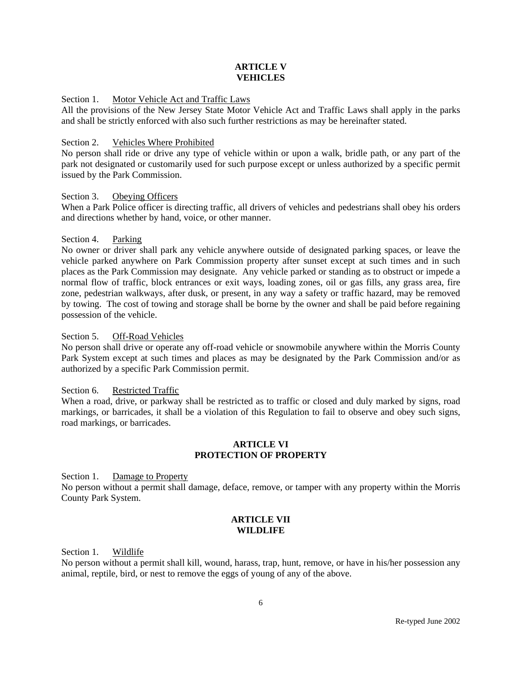## **ARTICLE V VEHICLES**

### Section 1. Motor Vehicle Act and Traffic Laws

All the provisions of the New Jersey State Motor Vehicle Act and Traffic Laws shall apply in the parks and shall be strictly enforced with also such further restrictions as may be hereinafter stated.

### Section 2. Vehicles Where Prohibited

No person shall ride or drive any type of vehicle within or upon a walk, bridle path, or any part of the park not designated or customarily used for such purpose except or unless authorized by a specific permit issued by the Park Commission.

### Section 3. Obeying Officers

When a Park Police officer is directing traffic, all drivers of vehicles and pedestrians shall obey his orders and directions whether by hand, voice, or other manner.

# Section 4. Parking

No owner or driver shall park any vehicle anywhere outside of designated parking spaces, or leave the vehicle parked anywhere on Park Commission property after sunset except at such times and in such places as the Park Commission may designate. Any vehicle parked or standing as to obstruct or impede a normal flow of traffic, block entrances or exit ways, loading zones, oil or gas fills, any grass area, fire zone, pedestrian walkways, after dusk, or present, in any way a safety or traffic hazard, may be removed by towing. The cost of towing and storage shall be borne by the owner and shall be paid before regaining possession of the vehicle.

### Section 5. Off-Road Vehicles

No person shall drive or operate any off-road vehicle or snowmobile anywhere within the Morris County Park System except at such times and places as may be designated by the Park Commission and/or as authorized by a specific Park Commission permit.

#### Section 6. Restricted Traffic

When a road, drive, or parkway shall be restricted as to traffic or closed and duly marked by signs, road markings, or barricades, it shall be a violation of this Regulation to fail to observe and obey such signs, road markings, or barricades.

### **ARTICLE VI PROTECTION OF PROPERTY**

Section 1. Damage to Property

No person without a permit shall damage, deface, remove, or tamper with any property within the Morris County Park System.

### **ARTICLE VII WILDLIFE**

Section 1. Wildlife

No person without a permit shall kill, wound, harass, trap, hunt, remove, or have in his/her possession any animal, reptile, bird, or nest to remove the eggs of young of any of the above.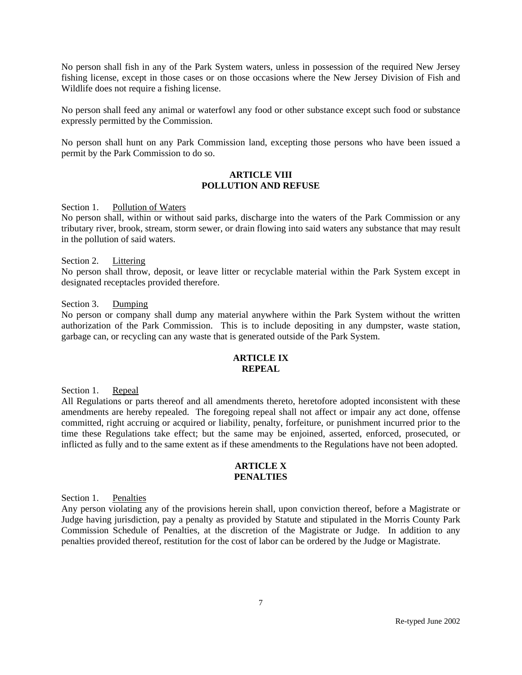No person shall fish in any of the Park System waters, unless in possession of the required New Jersey fishing license, except in those cases or on those occasions where the New Jersey Division of Fish and Wildlife does not require a fishing license.

No person shall feed any animal or waterfowl any food or other substance except such food or substance expressly permitted by the Commission.

No person shall hunt on any Park Commission land, excepting those persons who have been issued a permit by the Park Commission to do so.

### **ARTICLE VIII POLLUTION AND REFUSE**

Section 1. Pollution of Waters

No person shall, within or without said parks, discharge into the waters of the Park Commission or any tributary river, brook, stream, storm sewer, or drain flowing into said waters any substance that may result in the pollution of said waters.

#### Section 2. Littering

No person shall throw, deposit, or leave litter or recyclable material within the Park System except in designated receptacles provided therefore.

Section 3. Dumping

No person or company shall dump any material anywhere within the Park System without the written authorization of the Park Commission. This is to include depositing in any dumpster, waste station, garbage can, or recycling can any waste that is generated outside of the Park System.

### **ARTICLE IX REPEAL**

Section 1. Repeal

All Regulations or parts thereof and all amendments thereto, heretofore adopted inconsistent with these amendments are hereby repealed. The foregoing repeal shall not affect or impair any act done, offense committed, right accruing or acquired or liability, penalty, forfeiture, or punishment incurred prior to the time these Regulations take effect; but the same may be enjoined, asserted, enforced, prosecuted, or inflicted as fully and to the same extent as if these amendments to the Regulations have not been adopted.

#### **ARTICLE X PENALTIES**

Section 1. Penalties

Any person violating any of the provisions herein shall, upon conviction thereof, before a Magistrate or Judge having jurisdiction, pay a penalty as provided by Statute and stipulated in the Morris County Park Commission Schedule of Penalties, at the discretion of the Magistrate or Judge. In addition to any penalties provided thereof, restitution for the cost of labor can be ordered by the Judge or Magistrate.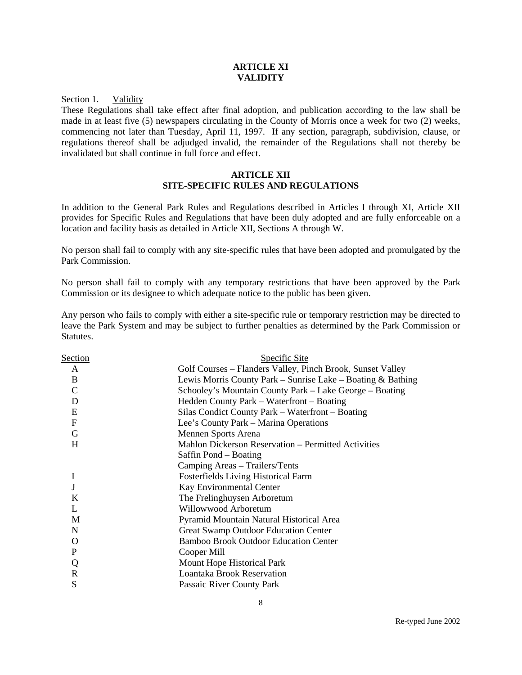#### **ARTICLE XI VALIDITY**

Section 1. Validity

These Regulations shall take effect after final adoption, and publication according to the law shall be made in at least five (5) newspapers circulating in the County of Morris once a week for two (2) weeks, commencing not later than Tuesday, April 11, 1997. If any section, paragraph, subdivision, clause, or regulations thereof shall be adjudged invalid, the remainder of the Regulations shall not thereby be invalidated but shall continue in full force and effect.

# **ARTICLE XII SITE-SPECIFIC RULES AND REGULATIONS**

In addition to the General Park Rules and Regulations described in Articles I through XI, Article XII provides for Specific Rules and Regulations that have been duly adopted and are fully enforceable on a location and facility basis as detailed in Article XII, Sections A through W.

No person shall fail to comply with any site-specific rules that have been adopted and promulgated by the Park Commission.

No person shall fail to comply with any temporary restrictions that have been approved by the Park Commission or its designee to which adequate notice to the public has been given.

Any person who fails to comply with either a site-specific rule or temporary restriction may be directed to leave the Park System and may be subject to further penalties as determined by the Park Commission or Statutes.

| Section        | Specific Site                                               |
|----------------|-------------------------------------------------------------|
| A              | Golf Courses – Flanders Valley, Pinch Brook, Sunset Valley  |
| B              | Lewis Morris County Park – Sunrise Lake – Boating & Bathing |
| $\mathcal{C}$  | Schooley's Mountain County Park – Lake George – Boating     |
| D              | Hedden County Park – Waterfront – Boating                   |
| E              | Silas Condict County Park – Waterfront – Boating            |
| $\overline{F}$ | Lee's County Park – Marina Operations                       |
| G              | Mennen Sports Arena                                         |
| H              | Mahlon Dickerson Reservation – Permitted Activities         |
|                | Saffin Pond – Boating                                       |
|                | Camping Areas - Trailers/Tents                              |
| I              | Fosterfields Living Historical Farm                         |
| J              | Kay Environmental Center                                    |
| K              | The Frelinghuysen Arboretum                                 |
| L              | Willowwood Arboretum                                        |
| M              | Pyramid Mountain Natural Historical Area                    |
| N              | Great Swamp Outdoor Education Center                        |
| O              | <b>Bamboo Brook Outdoor Education Center</b>                |
| P              | Cooper Mill                                                 |
| Q              | Mount Hope Historical Park                                  |
| $\mathbf R$    | <b>Loantaka Brook Reservation</b>                           |
| S              | Passaic River County Park                                   |
|                |                                                             |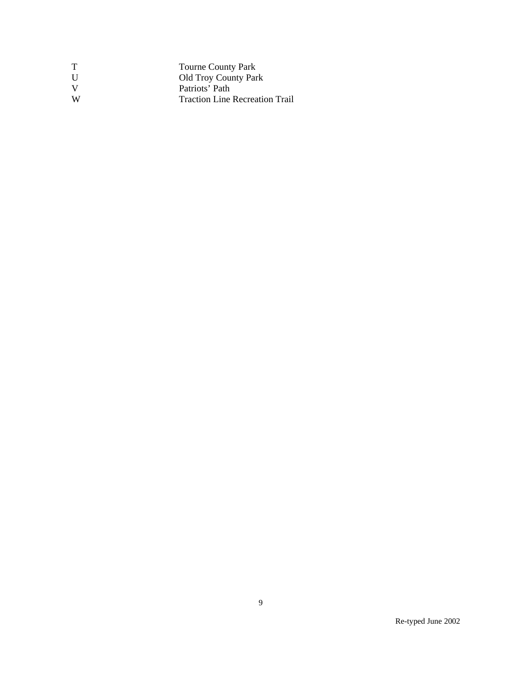|              | <b>Tourne County Park</b>             |
|--------------|---------------------------------------|
| $\mathbf{I}$ | <b>Old Troy County Park</b>           |
|              | Patriots' Path                        |
| W            | <b>Traction Line Recreation Trail</b> |
|              |                                       |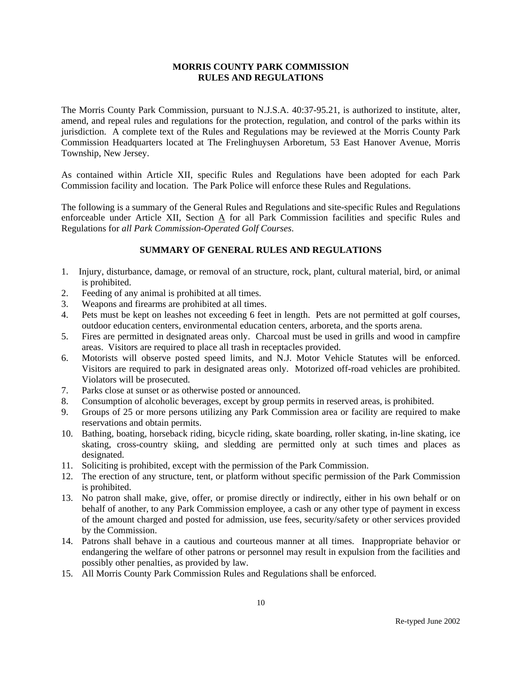The Morris County Park Commission, pursuant to N.J.S.A. 40:37-95.21, is authorized to institute, alter, amend, and repeal rules and regulations for the protection, regulation, and control of the parks within its jurisdiction. A complete text of the Rules and Regulations may be reviewed at the Morris County Park Commission Headquarters located at The Frelinghuysen Arboretum, 53 East Hanover Avenue, Morris Township, New Jersey.

As contained within Article XII, specific Rules and Regulations have been adopted for each Park Commission facility and location. The Park Police will enforce these Rules and Regulations.

The following is a summary of the General Rules and Regulations and site-specific Rules and Regulations enforceable under Article XII, Section A for all Park Commission facilities and specific Rules and Regulations for *all Park Commission-Operated Golf Courses*.

- 1. Injury, disturbance, damage, or removal of an structure, rock, plant, cultural material, bird, or animal is prohibited.
- 2. Feeding of any animal is prohibited at all times.
- 3. Weapons and firearms are prohibited at all times.
- 4. Pets must be kept on leashes not exceeding 6 feet in length. Pets are not permitted at golf courses, outdoor education centers, environmental education centers, arboreta, and the sports arena.
- 5. Fires are permitted in designated areas only. Charcoal must be used in grills and wood in campfire areas. Visitors are required to place all trash in receptacles provided.
- 6. Motorists will observe posted speed limits, and N.J. Motor Vehicle Statutes will be enforced. Visitors are required to park in designated areas only. Motorized off-road vehicles are prohibited. Violators will be prosecuted.
- 7. Parks close at sunset or as otherwise posted or announced.
- 8. Consumption of alcoholic beverages, except by group permits in reserved areas, is prohibited.
- 9. Groups of 25 or more persons utilizing any Park Commission area or facility are required to make reservations and obtain permits.
- 10. Bathing, boating, horseback riding, bicycle riding, skate boarding, roller skating, in-line skating, ice skating, cross-country skiing, and sledding are permitted only at such times and places as designated.
- 11. Soliciting is prohibited, except with the permission of the Park Commission.
- 12. The erection of any structure, tent, or platform without specific permission of the Park Commission is prohibited.
- 13. No patron shall make, give, offer, or promise directly or indirectly, either in his own behalf or on behalf of another, to any Park Commission employee, a cash or any other type of payment in excess of the amount charged and posted for admission, use fees, security/safety or other services provided by the Commission.
- 14. Patrons shall behave in a cautious and courteous manner at all times. Inappropriate behavior or endangering the welfare of other patrons or personnel may result in expulsion from the facilities and possibly other penalties, as provided by law.
- 15. All Morris County Park Commission Rules and Regulations shall be enforced.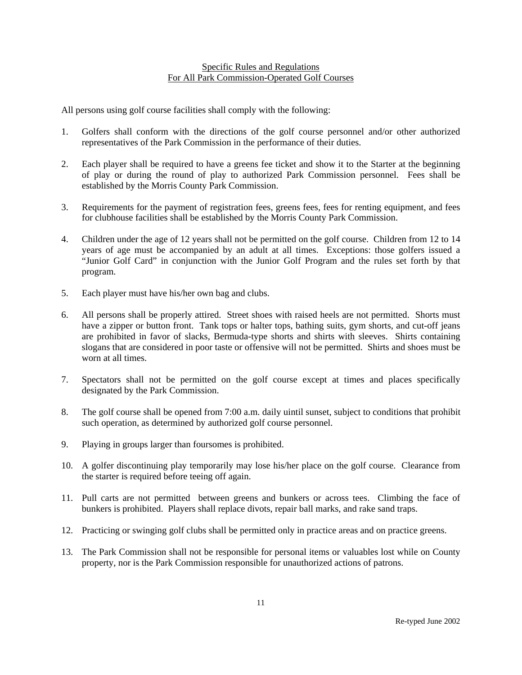### Specific Rules and Regulations For All Park Commission-Operated Golf Courses

All persons using golf course facilities shall comply with the following:

- 1. Golfers shall conform with the directions of the golf course personnel and/or other authorized representatives of the Park Commission in the performance of their duties.
- 2. Each player shall be required to have a greens fee ticket and show it to the Starter at the beginning of play or during the round of play to authorized Park Commission personnel. Fees shall be established by the Morris County Park Commission.
- 3. Requirements for the payment of registration fees, greens fees, fees for renting equipment, and fees for clubhouse facilities shall be established by the Morris County Park Commission.
- 4. Children under the age of 12 years shall not be permitted on the golf course. Children from 12 to 14 years of age must be accompanied by an adult at all times. Exceptions: those golfers issued a "Junior Golf Card" in conjunction with the Junior Golf Program and the rules set forth by that program.
- 5. Each player must have his/her own bag and clubs.
- 6. All persons shall be properly attired. Street shoes with raised heels are not permitted. Shorts must have a zipper or button front. Tank tops or halter tops, bathing suits, gym shorts, and cut-off jeans are prohibited in favor of slacks, Bermuda-type shorts and shirts with sleeves. Shirts containing slogans that are considered in poor taste or offensive will not be permitted. Shirts and shoes must be worn at all times.
- 7. Spectators shall not be permitted on the golf course except at times and places specifically designated by the Park Commission.
- 8. The golf course shall be opened from 7:00 a.m. daily uintil sunset, subject to conditions that prohibit such operation, as determined by authorized golf course personnel.
- 9. Playing in groups larger than foursomes is prohibited.
- 10. A golfer discontinuing play temporarily may lose his/her place on the golf course. Clearance from the starter is required before teeing off again.
- 11. Pull carts are not permitted between greens and bunkers or across tees. Climbing the face of bunkers is prohibited. Players shall replace divots, repair ball marks, and rake sand traps.
- 12. Practicing or swinging golf clubs shall be permitted only in practice areas and on practice greens.
- 13. The Park Commission shall not be responsible for personal items or valuables lost while on County property, nor is the Park Commission responsible for unauthorized actions of patrons.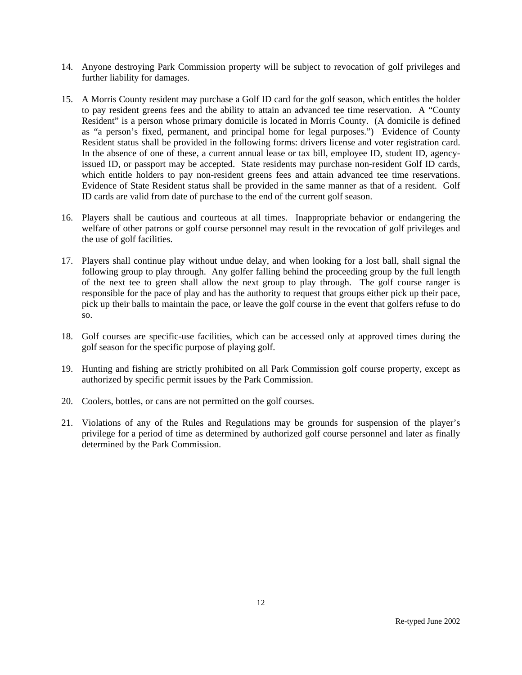- 14. Anyone destroying Park Commission property will be subject to revocation of golf privileges and further liability for damages.
- 15. A Morris County resident may purchase a Golf ID card for the golf season, which entitles the holder to pay resident greens fees and the ability to attain an advanced tee time reservation. A "County Resident" is a person whose primary domicile is located in Morris County. (A domicile is defined as "a person's fixed, permanent, and principal home for legal purposes.") Evidence of County Resident status shall be provided in the following forms: drivers license and voter registration card. In the absence of one of these, a current annual lease or tax bill, employee ID, student ID, agencyissued ID, or passport may be accepted. State residents may purchase non-resident Golf ID cards, which entitle holders to pay non-resident greens fees and attain advanced tee time reservations. Evidence of State Resident status shall be provided in the same manner as that of a resident. Golf ID cards are valid from date of purchase to the end of the current golf season.
- 16. Players shall be cautious and courteous at all times. Inappropriate behavior or endangering the welfare of other patrons or golf course personnel may result in the revocation of golf privileges and the use of golf facilities.
- 17. Players shall continue play without undue delay, and when looking for a lost ball, shall signal the following group to play through. Any golfer falling behind the proceeding group by the full length of the next tee to green shall allow the next group to play through. The golf course ranger is responsible for the pace of play and has the authority to request that groups either pick up their pace, pick up their balls to maintain the pace, or leave the golf course in the event that golfers refuse to do so.
- 18. Golf courses are specific-use facilities, which can be accessed only at approved times during the golf season for the specific purpose of playing golf.
- 19. Hunting and fishing are strictly prohibited on all Park Commission golf course property, except as authorized by specific permit issues by the Park Commission.
- 20. Coolers, bottles, or cans are not permitted on the golf courses.
- 21. Violations of any of the Rules and Regulations may be grounds for suspension of the player's privilege for a period of time as determined by authorized golf course personnel and later as finally determined by the Park Commission.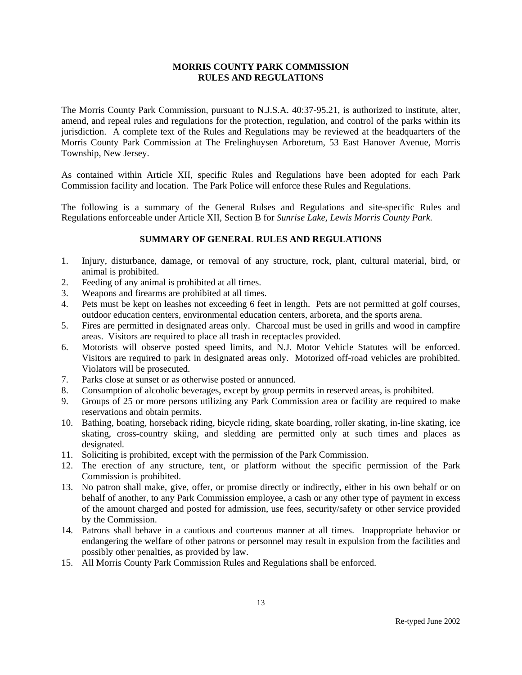The Morris County Park Commission, pursuant to N.J.S.A. 40:37-95.21, is authorized to institute, alter, amend, and repeal rules and regulations for the protection, regulation, and control of the parks within its jurisdiction. A complete text of the Rules and Regulations may be reviewed at the headquarters of the Morris County Park Commission at The Frelinghuysen Arboretum, 53 East Hanover Avenue, Morris Township, New Jersey.

As contained within Article XII, specific Rules and Regulations have been adopted for each Park Commission facility and location. The Park Police will enforce these Rules and Regulations.

The following is a summary of the General Rulses and Regulations and site-specific Rules and Regulations enforceable under Article XII, Section B for *Sunrise Lake, Lewis Morris County Park.*

- 1. Injury, disturbance, damage, or removal of any structure, rock, plant, cultural material, bird, or animal is prohibited.
- 2. Feeding of any animal is prohibited at all times.
- 3. Weapons and firearms are prohibited at all times.
- 4. Pets must be kept on leashes not exceeding 6 feet in length. Pets are not permitted at golf courses, outdoor education centers, environmental education centers, arboreta, and the sports arena.
- 5. Fires are permitted in designated areas only. Charcoal must be used in grills and wood in campfire areas. Visitors are required to place all trash in receptacles provided.
- 6. Motorists will observe posted speed limits, and N.J. Motor Vehicle Statutes will be enforced. Visitors are required to park in designated areas only. Motorized off-road vehicles are prohibited. Violators will be prosecuted.
- 7. Parks close at sunset or as otherwise posted or annunced.
- 8. Consumption of alcoholic beverages, except by group permits in reserved areas, is prohibited.
- 9. Groups of 25 or more persons utilizing any Park Commission area or facility are required to make reservations and obtain permits.
- 10. Bathing, boating, horseback riding, bicycle riding, skate boarding, roller skating, in-line skating, ice skating, cross-country skiing, and sledding are permitted only at such times and places as designated.
- 11. Soliciting is prohibited, except with the permission of the Park Commission.
- 12. The erection of any structure, tent, or platform without the specific permission of the Park Commission is prohibited.
- 13. No patron shall make, give, offer, or promise directly or indirectly, either in his own behalf or on behalf of another, to any Park Commission employee, a cash or any other type of payment in excess of the amount charged and posted for admission, use fees, security/safety or other service provided by the Commission.
- 14. Patrons shall behave in a cautious and courteous manner at all times. Inappropriate behavior or endangering the welfare of other patrons or personnel may result in expulsion from the facilities and possibly other penalties, as provided by law.
- 15. All Morris County Park Commission Rules and Regulations shall be enforced.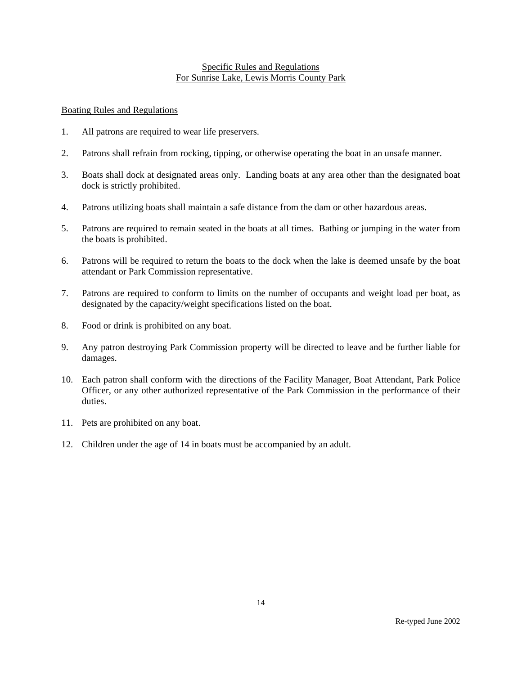### Specific Rules and Regulations For Sunrise Lake, Lewis Morris County Park

#### Boating Rules and Regulations

- 1. All patrons are required to wear life preservers.
- 2. Patrons shall refrain from rocking, tipping, or otherwise operating the boat in an unsafe manner.
- 3. Boats shall dock at designated areas only. Landing boats at any area other than the designated boat dock is strictly prohibited.
- 4. Patrons utilizing boats shall maintain a safe distance from the dam or other hazardous areas.
- 5. Patrons are required to remain seated in the boats at all times. Bathing or jumping in the water from the boats is prohibited.
- 6. Patrons will be required to return the boats to the dock when the lake is deemed unsafe by the boat attendant or Park Commission representative.
- 7. Patrons are required to conform to limits on the number of occupants and weight load per boat, as designated by the capacity/weight specifications listed on the boat.
- 8. Food or drink is prohibited on any boat.
- 9. Any patron destroying Park Commission property will be directed to leave and be further liable for damages.
- 10. Each patron shall conform with the directions of the Facility Manager, Boat Attendant, Park Police Officer, or any other authorized representative of the Park Commission in the performance of their duties.
- 11. Pets are prohibited on any boat.
- 12. Children under the age of 14 in boats must be accompanied by an adult.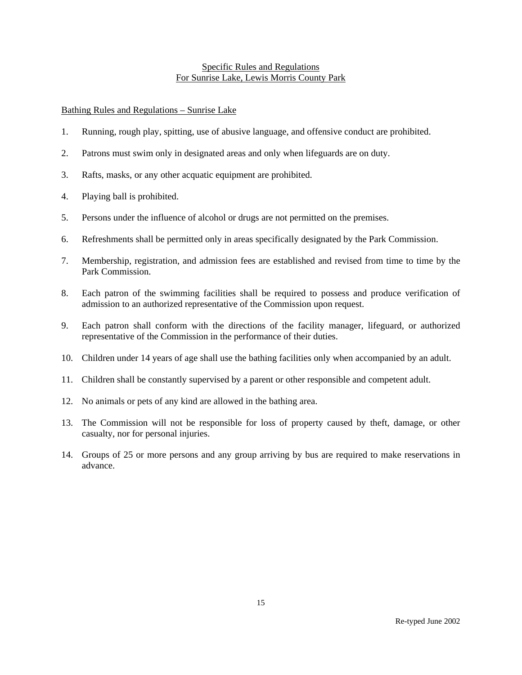### Specific Rules and Regulations For Sunrise Lake, Lewis Morris County Park

# Bathing Rules and Regulations – Sunrise Lake

- 1. Running, rough play, spitting, use of abusive language, and offensive conduct are prohibited.
- 2. Patrons must swim only in designated areas and only when lifeguards are on duty.
- 3. Rafts, masks, or any other acquatic equipment are prohibited.
- 4. Playing ball is prohibited.
- 5. Persons under the influence of alcohol or drugs are not permitted on the premises.
- 6. Refreshments shall be permitted only in areas specifically designated by the Park Commission.
- 7. Membership, registration, and admission fees are established and revised from time to time by the Park Commission.
- 8. Each patron of the swimming facilities shall be required to possess and produce verification of admission to an authorized representative of the Commission upon request.
- 9. Each patron shall conform with the directions of the facility manager, lifeguard, or authorized representative of the Commission in the performance of their duties.
- 10. Children under 14 years of age shall use the bathing facilities only when accompanied by an adult.
- 11. Children shall be constantly supervised by a parent or other responsible and competent adult.
- 12. No animals or pets of any kind are allowed in the bathing area.
- 13. The Commission will not be responsible for loss of property caused by theft, damage, or other casualty, nor for personal injuries.
- 14. Groups of 25 or more persons and any group arriving by bus are required to make reservations in advance.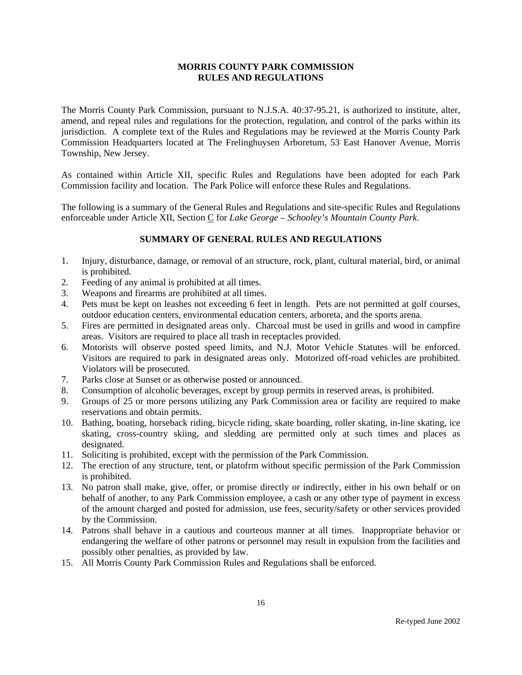The Morris County Park Commission, pursuant to N.J.S.A. 40:37-95.21, is authorized to institute, alter, amend, and repeal rules and regulations for the protection, regulation, and control of the parks within its jurisdiction. A complete text of the Rules and Regulations may be reviewed at the Morris County Park Commission Headquarters located at The Frelinghuysen Arboretum, 53 East Hanover Avenue, Morris Township, New Jersey.

As contained within Article XII, specific Rules and Regulations have been adopted for each Park Commission facility and location. The Park Police will enforce these Rules and Regulations.

The following is a summary of the General Rules and Regulations and site-specific Rules and Regulations enforceable under Article XII, Section C for *Lake George - Schooley's Mountain County Park*.

- 1. Injury, disturbance, damage, or removal of an structure, rock, plant, cultural material, bird, or animal is prohibited.
- 2. Feeding of any animal is prohibited at all times.
- 3. Weapons and firearms are prohibited at all times.
- 4. Pets must be kept on leashes not exceeding 6 feet in length. Pets are not permitted at golf courses, outdoor education centers, environmental education centers, arboreta, and the sports arena.
- 5. Fires are permitted in designated areas only. Charcoal must be used in grills and wood in campfire areas. Visitors are required to place all trash in receptacles provided.
- 6. Motorists will observe posted speed limits, and N.J. Motor Vehicle Statutes will be enforced. Visitors are required to park in designated areas only. Motorized off-road vehicles are prohibited. Violators will be prosecuted.
- 7. Parks close at Sunset or as otherwise posted or announced.
- 8. Consumption of alcoholic beverages, except by group permits in reserved areas, is prohibited.
- 9. Groups of 25 or more persons utilizing any Park Commission area or facility are required to make reservations and obtain permits.
- 10. Bathing, boating, horseback riding, bicycle riding, skate boarding, roller skating, in-line skating, ice skating, cross-country skiing, and sledding are permitted only at such times and places as designated.
- 11. Soliciting is prohibited, except with the permission of the Park Commission.
- 12. The erection of any structure, tent, or platofrm without specific permission of the Park Commission is prohibited.
- 13. No patron shall make, give, offer, or promise directly or indirectly, either in his own behalf or on behalf of another, to any Park Commission employee, a cash or any other type of payment in excess of the amount charged and posted for admission, use fees, security/safety or other services provided by the Commission.
- 14. Patrons shall behave in a cautious and courteous manner at all times. Inappropriate behavior or endangering the welfare of other patrons or personnel may result in expulsion from the facilities and possibly other penalties, as provided by law.
- 15. All Morris County Park Commission Rules and Regulations shall be enforced.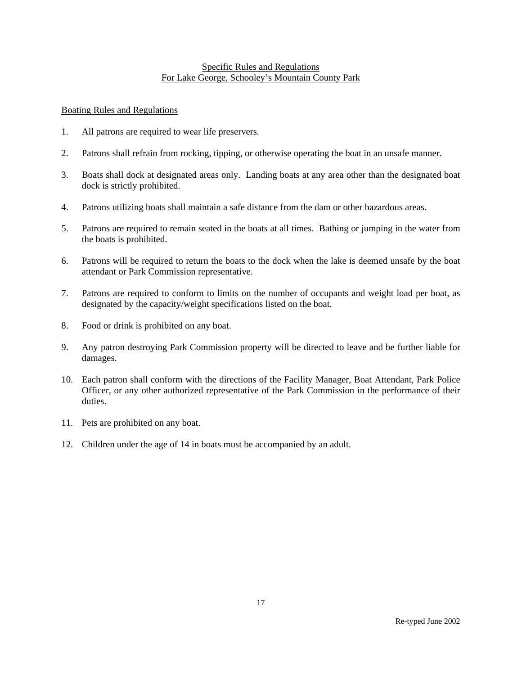## Specific Rules and Regulations For Lake George, Schooley's Mountain County Park

## Boating Rules and Regulations

- 1. All patrons are required to wear life preservers.
- 2. Patrons shall refrain from rocking, tipping, or otherwise operating the boat in an unsafe manner.
- 3. Boats shall dock at designated areas only. Landing boats at any area other than the designated boat dock is strictly prohibited.
- 4. Patrons utilizing boats shall maintain a safe distance from the dam or other hazardous areas.
- 5. Patrons are required to remain seated in the boats at all times. Bathing or jumping in the water from the boats is prohibited.
- 6. Patrons will be required to return the boats to the dock when the lake is deemed unsafe by the boat attendant or Park Commission representative.
- 7. Patrons are required to conform to limits on the number of occupants and weight load per boat, as designated by the capacity/weight specifications listed on the boat.
- 8. Food or drink is prohibited on any boat.
- 9. Any patron destroying Park Commission property will be directed to leave and be further liable for damages.
- 10. Each patron shall conform with the directions of the Facility Manager, Boat Attendant, Park Police Officer, or any other authorized representative of the Park Commission in the performance of their duties.
- 11. Pets are prohibited on any boat.
- 12. Children under the age of 14 in boats must be accompanied by an adult.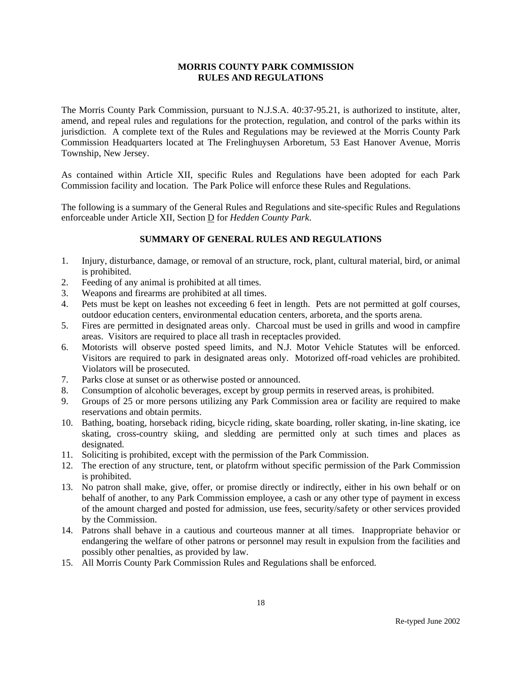The Morris County Park Commission, pursuant to N.J.S.A. 40:37-95.21, is authorized to institute, alter, amend, and repeal rules and regulations for the protection, regulation, and control of the parks within its jurisdiction. A complete text of the Rules and Regulations may be reviewed at the Morris County Park Commission Headquarters located at The Frelinghuysen Arboretum, 53 East Hanover Avenue, Morris Township, New Jersey.

As contained within Article XII, specific Rules and Regulations have been adopted for each Park Commission facility and location. The Park Police will enforce these Rules and Regulations.

The following is a summary of the General Rules and Regulations and site-specific Rules and Regulations enforceable under Article XII, Section D for *Hedden County Park*.

- 1. Injury, disturbance, damage, or removal of an structure, rock, plant, cultural material, bird, or animal is prohibited.
- 2. Feeding of any animal is prohibited at all times.
- 3. Weapons and firearms are prohibited at all times.
- 4. Pets must be kept on leashes not exceeding 6 feet in length. Pets are not permitted at golf courses, outdoor education centers, environmental education centers, arboreta, and the sports arena.
- 5. Fires are permitted in designated areas only. Charcoal must be used in grills and wood in campfire areas. Visitors are required to place all trash in receptacles provided.
- 6. Motorists will observe posted speed limits, and N.J. Motor Vehicle Statutes will be enforced. Visitors are required to park in designated areas only. Motorized off-road vehicles are prohibited. Violators will be prosecuted.
- 7. Parks close at sunset or as otherwise posted or announced.
- 8. Consumption of alcoholic beverages, except by group permits in reserved areas, is prohibited.
- 9. Groups of 25 or more persons utilizing any Park Commission area or facility are required to make reservations and obtain permits.
- 10. Bathing, boating, horseback riding, bicycle riding, skate boarding, roller skating, in-line skating, ice skating, cross-country skiing, and sledding are permitted only at such times and places as designated.
- 11. Soliciting is prohibited, except with the permission of the Park Commission.
- 12. The erection of any structure, tent, or platofrm without specific permission of the Park Commission is prohibited.
- 13. No patron shall make, give, offer, or promise directly or indirectly, either in his own behalf or on behalf of another, to any Park Commission employee, a cash or any other type of payment in excess of the amount charged and posted for admission, use fees, security/safety or other services provided by the Commission.
- 14. Patrons shall behave in a cautious and courteous manner at all times. Inappropriate behavior or endangering the welfare of other patrons or personnel may result in expulsion from the facilities and possibly other penalties, as provided by law.
- 15. All Morris County Park Commission Rules and Regulations shall be enforced.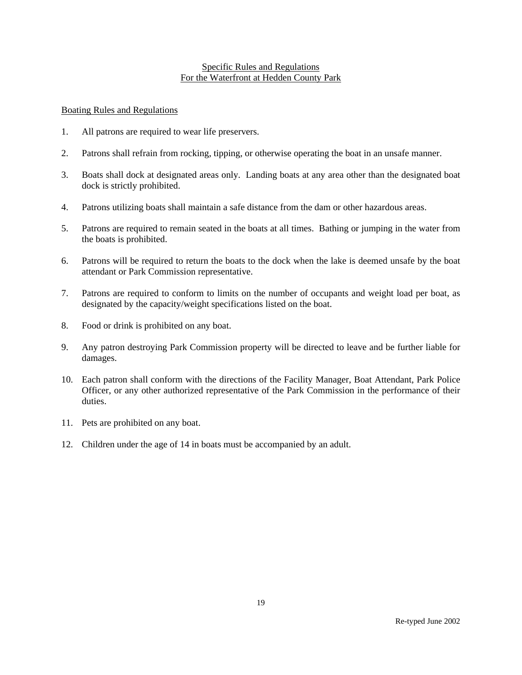### Specific Rules and Regulations For the Waterfront at Hedden County Park

### Boating Rules and Regulations

- 1. All patrons are required to wear life preservers.
- 2. Patrons shall refrain from rocking, tipping, or otherwise operating the boat in an unsafe manner.
- 3. Boats shall dock at designated areas only. Landing boats at any area other than the designated boat dock is strictly prohibited.
- 4. Patrons utilizing boats shall maintain a safe distance from the dam or other hazardous areas.
- 5. Patrons are required to remain seated in the boats at all times. Bathing or jumping in the water from the boats is prohibited.
- 6. Patrons will be required to return the boats to the dock when the lake is deemed unsafe by the boat attendant or Park Commission representative.
- 7. Patrons are required to conform to limits on the number of occupants and weight load per boat, as designated by the capacity/weight specifications listed on the boat.
- 8. Food or drink is prohibited on any boat.
- 9. Any patron destroying Park Commission property will be directed to leave and be further liable for damages.
- 10. Each patron shall conform with the directions of the Facility Manager, Boat Attendant, Park Police Officer, or any other authorized representative of the Park Commission in the performance of their duties.
- 11. Pets are prohibited on any boat.
- 12. Children under the age of 14 in boats must be accompanied by an adult.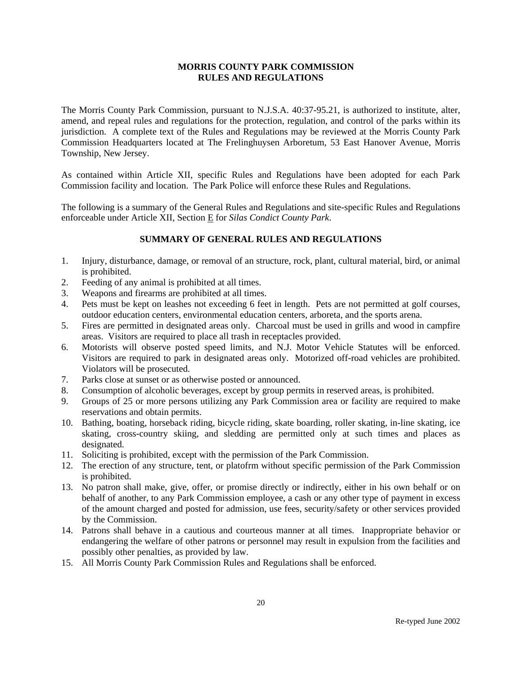The Morris County Park Commission, pursuant to N.J.S.A. 40:37-95.21, is authorized to institute, alter, amend, and repeal rules and regulations for the protection, regulation, and control of the parks within its jurisdiction. A complete text of the Rules and Regulations may be reviewed at the Morris County Park Commission Headquarters located at The Frelinghuysen Arboretum, 53 East Hanover Avenue, Morris Township, New Jersey.

As contained within Article XII, specific Rules and Regulations have been adopted for each Park Commission facility and location. The Park Police will enforce these Rules and Regulations.

The following is a summary of the General Rules and Regulations and site-specific Rules and Regulations enforceable under Article XII, Section E for *Silas Condict County Park*.

- 1. Injury, disturbance, damage, or removal of an structure, rock, plant, cultural material, bird, or animal is prohibited.
- 2. Feeding of any animal is prohibited at all times.
- 3. Weapons and firearms are prohibited at all times.
- 4. Pets must be kept on leashes not exceeding 6 feet in length. Pets are not permitted at golf courses, outdoor education centers, environmental education centers, arboreta, and the sports arena.
- 5. Fires are permitted in designated areas only. Charcoal must be used in grills and wood in campfire areas. Visitors are required to place all trash in receptacles provided.
- 6. Motorists will observe posted speed limits, and N.J. Motor Vehicle Statutes will be enforced. Visitors are required to park in designated areas only. Motorized off-road vehicles are prohibited. Violators will be prosecuted.
- 7. Parks close at sunset or as otherwise posted or announced.
- 8. Consumption of alcoholic beverages, except by group permits in reserved areas, is prohibited.
- 9. Groups of 25 or more persons utilizing any Park Commission area or facility are required to make reservations and obtain permits.
- 10. Bathing, boating, horseback riding, bicycle riding, skate boarding, roller skating, in-line skating, ice skating, cross-country skiing, and sledding are permitted only at such times and places as designated.
- 11. Soliciting is prohibited, except with the permission of the Park Commission.
- 12. The erection of any structure, tent, or platofrm without specific permission of the Park Commission is prohibited.
- 13. No patron shall make, give, offer, or promise directly or indirectly, either in his own behalf or on behalf of another, to any Park Commission employee, a cash or any other type of payment in excess of the amount charged and posted for admission, use fees, security/safety or other services provided by the Commission.
- 14. Patrons shall behave in a cautious and courteous manner at all times. Inappropriate behavior or endangering the welfare of other patrons or personnel may result in expulsion from the facilities and possibly other penalties, as provided by law.
- 15. All Morris County Park Commission Rules and Regulations shall be enforced.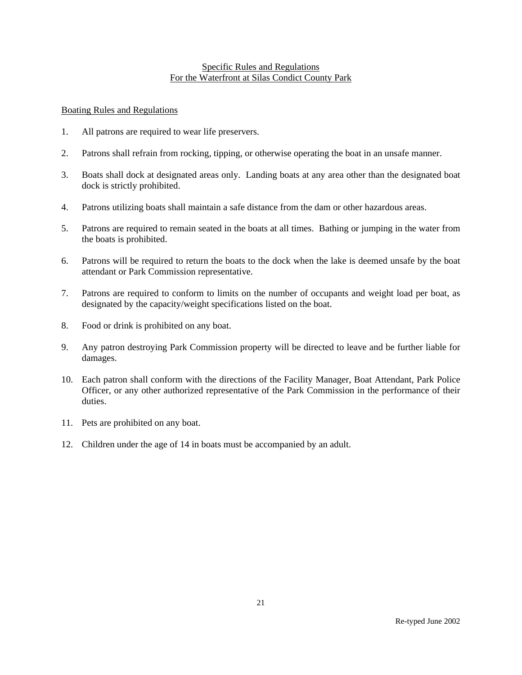### Specific Rules and Regulations For the Waterfront at Silas Condict County Park

## Boating Rules and Regulations

- 1. All patrons are required to wear life preservers.
- 2. Patrons shall refrain from rocking, tipping, or otherwise operating the boat in an unsafe manner.
- 3. Boats shall dock at designated areas only. Landing boats at any area other than the designated boat dock is strictly prohibited.
- 4. Patrons utilizing boats shall maintain a safe distance from the dam or other hazardous areas.
- 5. Patrons are required to remain seated in the boats at all times. Bathing or jumping in the water from the boats is prohibited.
- 6. Patrons will be required to return the boats to the dock when the lake is deemed unsafe by the boat attendant or Park Commission representative.
- 7. Patrons are required to conform to limits on the number of occupants and weight load per boat, as designated by the capacity/weight specifications listed on the boat.
- 8. Food or drink is prohibited on any boat.
- 9. Any patron destroying Park Commission property will be directed to leave and be further liable for damages.
- 10. Each patron shall conform with the directions of the Facility Manager, Boat Attendant, Park Police Officer, or any other authorized representative of the Park Commission in the performance of their duties.
- 11. Pets are prohibited on any boat.
- 12. Children under the age of 14 in boats must be accompanied by an adult.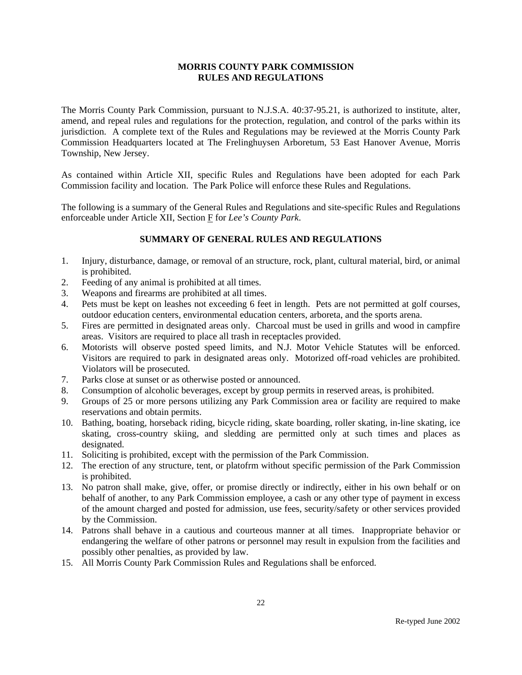The Morris County Park Commission, pursuant to N.J.S.A. 40:37-95.21, is authorized to institute, alter, amend, and repeal rules and regulations for the protection, regulation, and control of the parks within its jurisdiction. A complete text of the Rules and Regulations may be reviewed at the Morris County Park Commission Headquarters located at The Frelinghuysen Arboretum, 53 East Hanover Avenue, Morris Township, New Jersey.

As contained within Article XII, specific Rules and Regulations have been adopted for each Park Commission facility and location. The Park Police will enforce these Rules and Regulations.

The following is a summary of the General Rules and Regulations and site-specific Rules and Regulations enforceable under Article XII, Section F for *Lee's County Park*.

- 1. Injury, disturbance, damage, or removal of an structure, rock, plant, cultural material, bird, or animal is prohibited.
- 2. Feeding of any animal is prohibited at all times.
- 3. Weapons and firearms are prohibited at all times.
- 4. Pets must be kept on leashes not exceeding 6 feet in length. Pets are not permitted at golf courses, outdoor education centers, environmental education centers, arboreta, and the sports arena.
- 5. Fires are permitted in designated areas only. Charcoal must be used in grills and wood in campfire areas. Visitors are required to place all trash in receptacles provided.
- 6. Motorists will observe posted speed limits, and N.J. Motor Vehicle Statutes will be enforced. Visitors are required to park in designated areas only. Motorized off-road vehicles are prohibited. Violators will be prosecuted.
- 7. Parks close at sunset or as otherwise posted or announced.
- 8. Consumption of alcoholic beverages, except by group permits in reserved areas, is prohibited.
- 9. Groups of 25 or more persons utilizing any Park Commission area or facility are required to make reservations and obtain permits.
- 10. Bathing, boating, horseback riding, bicycle riding, skate boarding, roller skating, in-line skating, ice skating, cross-country skiing, and sledding are permitted only at such times and places as designated.
- 11. Soliciting is prohibited, except with the permission of the Park Commission.
- 12. The erection of any structure, tent, or platofrm without specific permission of the Park Commission is prohibited.
- 13. No patron shall make, give, offer, or promise directly or indirectly, either in his own behalf or on behalf of another, to any Park Commission employee, a cash or any other type of payment in excess of the amount charged and posted for admission, use fees, security/safety or other services provided by the Commission.
- 14. Patrons shall behave in a cautious and courteous manner at all times. Inappropriate behavior or endangering the welfare of other patrons or personnel may result in expulsion from the facilities and possibly other penalties, as provided by law.
- 15. All Morris County Park Commission Rules and Regulations shall be enforced.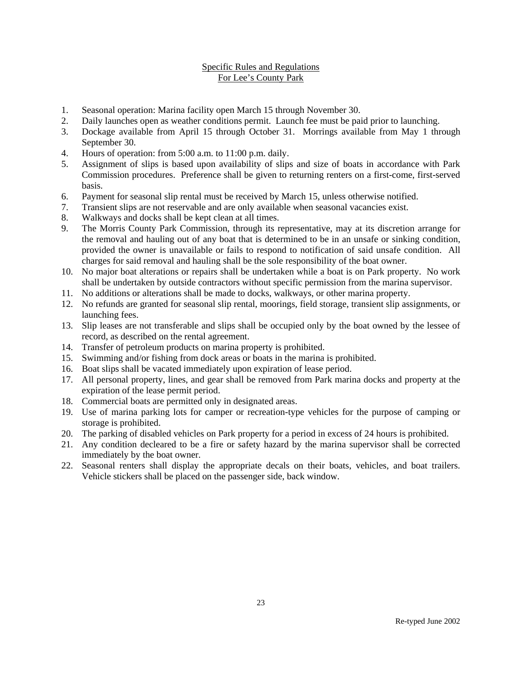## Specific Rules and Regulations For Lee's County Park

- 1. Seasonal operation: Marina facility open March 15 through November 30.
- 2. Daily launches open as weather conditions permit. Launch fee must be paid prior to launching.
- 3. Dockage available from April 15 through October 31. Morrings available from May 1 through September 30.
- 4. Hours of operation: from 5:00 a.m. to 11:00 p.m. daily.
- 5. Assignment of slips is based upon availability of slips and size of boats in accordance with Park Commission procedures. Preference shall be given to returning renters on a first-come, first-served basis.
- 6. Payment for seasonal slip rental must be received by March 15, unless otherwise notified.
- 7. Transient slips are not reservable and are only available when seasonal vacancies exist.
- 8. Walkways and docks shall be kept clean at all times.
- 9. The Morris County Park Commission, through its representative, may at its discretion arrange for the removal and hauling out of any boat that is determined to be in an unsafe or sinking condition, provided the owner is unavailable or fails to respond to notification of said unsafe condition. All charges for said removal and hauling shall be the sole responsibility of the boat owner.
- 10. No major boat alterations or repairs shall be undertaken while a boat is on Park property. No work shall be undertaken by outside contractors without specific permission from the marina supervisor.
- 11. No additions or alterations shall be made to docks, walkways, or other marina property.
- 12. No refunds are granted for seasonal slip rental, moorings, field storage, transient slip assignments, or launching fees.
- 13. Slip leases are not transferable and slips shall be occupied only by the boat owned by the lessee of record, as described on the rental agreement.
- 14. Transfer of petroleum products on marina property is prohibited.
- 15. Swimming and/or fishing from dock areas or boats in the marina is prohibited.
- 16. Boat slips shall be vacated immediately upon expiration of lease period.
- 17. All personal property, lines, and gear shall be removed from Park marina docks and property at the expiration of the lease permit period.
- 18. Commercial boats are permitted only in designated areas.
- 19. Use of marina parking lots for camper or recreation-type vehicles for the purpose of camping or storage is prohibited.
- 20. The parking of disabled vehicles on Park property for a period in excess of 24 hours is prohibited.
- 21. Any condition decleared to be a fire or safety hazard by the marina supervisor shall be corrected immediately by the boat owner.
- 22. Seasonal renters shall display the appropriate decals on their boats, vehicles, and boat trailers. Vehicle stickers shall be placed on the passenger side, back window.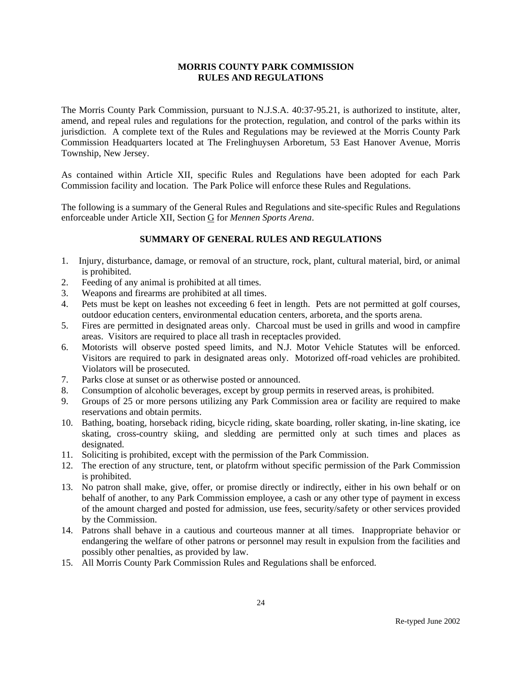The Morris County Park Commission, pursuant to N.J.S.A. 40:37-95.21, is authorized to institute, alter, amend, and repeal rules and regulations for the protection, regulation, and control of the parks within its jurisdiction. A complete text of the Rules and Regulations may be reviewed at the Morris County Park Commission Headquarters located at The Frelinghuysen Arboretum, 53 East Hanover Avenue, Morris Township, New Jersey.

As contained within Article XII, specific Rules and Regulations have been adopted for each Park Commission facility and location. The Park Police will enforce these Rules and Regulations.

The following is a summary of the General Rules and Regulations and site-specific Rules and Regulations enforceable under Article XII, Section G for *Mennen Sports Arena*.

- 1. Injury, disturbance, damage, or removal of an structure, rock, plant, cultural material, bird, or animal is prohibited.
- 2. Feeding of any animal is prohibited at all times.
- 3. Weapons and firearms are prohibited at all times.
- 4. Pets must be kept on leashes not exceeding 6 feet in length. Pets are not permitted at golf courses, outdoor education centers, environmental education centers, arboreta, and the sports arena.
- 5. Fires are permitted in designated areas only. Charcoal must be used in grills and wood in campfire areas. Visitors are required to place all trash in receptacles provided.
- 6. Motorists will observe posted speed limits, and N.J. Motor Vehicle Statutes will be enforced. Visitors are required to park in designated areas only. Motorized off-road vehicles are prohibited. Violators will be prosecuted.
- 7. Parks close at sunset or as otherwise posted or announced.
- 8. Consumption of alcoholic beverages, except by group permits in reserved areas, is prohibited.
- 9. Groups of 25 or more persons utilizing any Park Commission area or facility are required to make reservations and obtain permits.
- 10. Bathing, boating, horseback riding, bicycle riding, skate boarding, roller skating, in-line skating, ice skating, cross-country skiing, and sledding are permitted only at such times and places as designated.
- 11. Soliciting is prohibited, except with the permission of the Park Commission.
- 12. The erection of any structure, tent, or platofrm without specific permission of the Park Commission is prohibited.
- 13. No patron shall make, give, offer, or promise directly or indirectly, either in his own behalf or on behalf of another, to any Park Commission employee, a cash or any other type of payment in excess of the amount charged and posted for admission, use fees, security/safety or other services provided by the Commission.
- 14. Patrons shall behave in a cautious and courteous manner at all times. Inappropriate behavior or endangering the welfare of other patrons or personnel may result in expulsion from the facilities and possibly other penalties, as provided by law.
- 15. All Morris County Park Commission Rules and Regulations shall be enforced.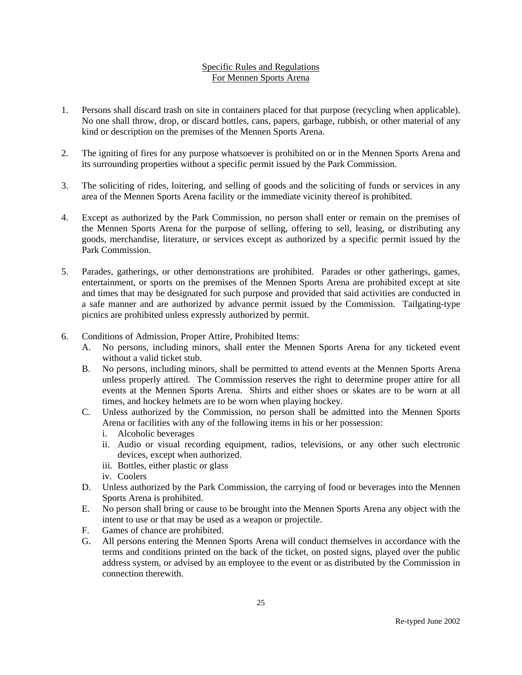## Specific Rules and Regulations For Mennen Sports Arena

- 1. Persons shall discard trash on site in containers placed for that purpose (recycling when applicable). No one shall throw, drop, or discard bottles, cans, papers, garbage, rubbish, or other material of any kind or description on the premises of the Mennen Sports Arena.
- 2. The igniting of fires for any purpose whatsoever is prohibited on or in the Mennen Sports Arena and its surrounding properties without a specific permit issued by the Park Commission.
- 3. The soliciting of rides, loitering, and selling of goods and the soliciting of funds or services in any area of the Mennen Sports Arena facility or the immediate vicinity thereof is prohibited.
- 4. Except as authorized by the Park Commission, no person shall enter or remain on the premises of the Mennen Sports Arena for the purpose of selling, offering to sell, leasing, or distributing any goods, merchandise, literature, or services except as authorized by a specific permit issued by the Park Commission.
- 5. Parades, gatherings, or other demonstrations are prohibited. Parades or other gatherings, games, entertainment, or sports on the premises of the Mennen Sports Arena are prohibited except at site and times that may be designated for such purpose and provided that said activities are conducted in a safe manner and are authorized by advance permit issued by the Commission. Tailgating-type picnics are prohibited unless expressly authorized by permit.
- 6. Conditions of Admission, Proper Attire, Prohibited Items:
	- A. No persons, including minors, shall enter the Mennen Sports Arena for any ticketed event without a valid ticket stub.
	- B. No persons, including minors, shall be permitted to attend events at the Mennen Sports Arena unless properly attired. The Commission reserves the right to determine proper attire for all events at the Mennen Sports Arena. Shirts and either shoes or skates are to be worn at all times, and hockey helmets are to be worn when playing hockey.
	- C. Unless authorized by the Commission, no person shall be admitted into the Mennen Sports Arena or facilities with any of the following items in his or her possession:
		- i. Alcoholic beverages
		- ii. Audio or visual recording equipment, radios, televisions, or any other such electronic devices, except when authorized.
		- iii. Bottles, either plastic or glass
		- iv. Coolers
	- D. Unless authorized by the Park Commission, the carrying of food or beverages into the Mennen Sports Arena is prohibited.
	- E. No person shall bring or cause to be brought into the Mennen Sports Arena any object with the intent to use or that may be used as a weapon or projectile.
	- F. Games of chance are prohibited.
	- G. All persons entering the Mennen Sports Arena will conduct themselves in accordance with the terms and conditions printed on the back of the ticket, on posted signs, played over the public address system, or advised by an employee to the event or as distributed by the Commission in connection therewith.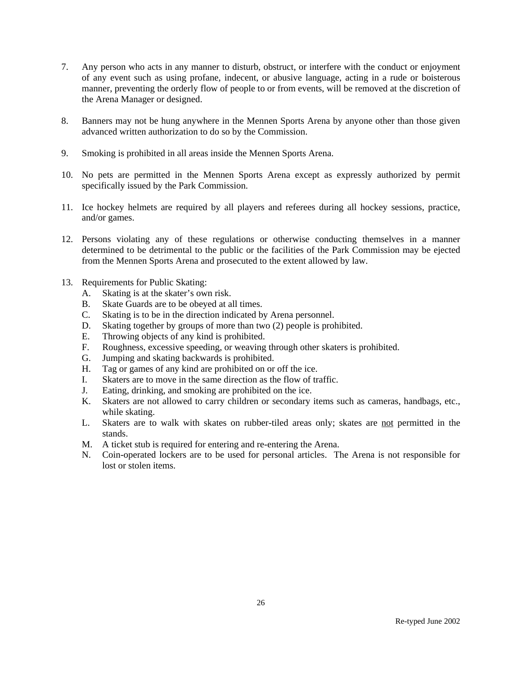- 7. Any person who acts in any manner to disturb, obstruct, or interfere with the conduct or enjoyment of any event such as using profane, indecent, or abusive language, acting in a rude or boisterous manner, preventing the orderly flow of people to or from events, will be removed at the discretion of the Arena Manager or designed.
- 8. Banners may not be hung anywhere in the Mennen Sports Arena by anyone other than those given advanced written authorization to do so by the Commission.
- 9. Smoking is prohibited in all areas inside the Mennen Sports Arena.
- 10. No pets are permitted in the Mennen Sports Arena except as expressly authorized by permit specifically issued by the Park Commission.
- 11. Ice hockey helmets are required by all players and referees during all hockey sessions, practice, and/or games.
- 12. Persons violating any of these regulations or otherwise conducting themselves in a manner determined to be detrimental to the public or the facilities of the Park Commission may be ejected from the Mennen Sports Arena and prosecuted to the extent allowed by law.
- 13. Requirements for Public Skating:
	- A. Skating is at the skater's own risk.
	- B. Skate Guards are to be obeyed at all times.
	- C. Skating is to be in the direction indicated by Arena personnel.
	- D. Skating together by groups of more than two (2) people is prohibited.
	- E. Throwing objects of any kind is prohibited.
	- F. Roughness, excessive speeding, or weaving through other skaters is prohibited.
	- G. Jumping and skating backwards is prohibited.
	- H. Tag or games of any kind are prohibited on or off the ice.
	- I. Skaters are to move in the same direction as the flow of traffic.
	- J. Eating, drinking, and smoking are prohibited on the ice.<br>K. Skaters are not allowed to carry children or secondary
	- Skaters are not allowed to carry children or secondary items such as cameras, handbags, etc., while skating.
	- L. Skaters are to walk with skates on rubber-tiled areas only; skates are not permitted in the stands.
	- M. A ticket stub is required for entering and re-entering the Arena.
	- N. Coin-operated lockers are to be used for personal articles. The Arena is not responsible for lost or stolen items.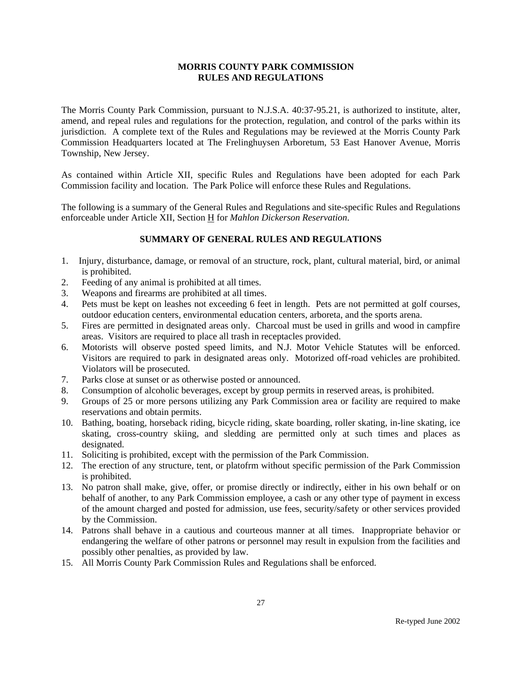The Morris County Park Commission, pursuant to N.J.S.A. 40:37-95.21, is authorized to institute, alter, amend, and repeal rules and regulations for the protection, regulation, and control of the parks within its jurisdiction. A complete text of the Rules and Regulations may be reviewed at the Morris County Park Commission Headquarters located at The Frelinghuysen Arboretum, 53 East Hanover Avenue, Morris Township, New Jersey.

As contained within Article XII, specific Rules and Regulations have been adopted for each Park Commission facility and location. The Park Police will enforce these Rules and Regulations.

The following is a summary of the General Rules and Regulations and site-specific Rules and Regulations enforceable under Article XII, Section H for *Mahlon Dickerson Reservation*.

- 1. Injury, disturbance, damage, or removal of an structure, rock, plant, cultural material, bird, or animal is prohibited.
- 2. Feeding of any animal is prohibited at all times.
- 3. Weapons and firearms are prohibited at all times.
- 4. Pets must be kept on leashes not exceeding 6 feet in length. Pets are not permitted at golf courses, outdoor education centers, environmental education centers, arboreta, and the sports arena.
- 5. Fires are permitted in designated areas only. Charcoal must be used in grills and wood in campfire areas. Visitors are required to place all trash in receptacles provided.
- 6. Motorists will observe posted speed limits, and N.J. Motor Vehicle Statutes will be enforced. Visitors are required to park in designated areas only. Motorized off-road vehicles are prohibited. Violators will be prosecuted.
- 7. Parks close at sunset or as otherwise posted or announced.
- 8. Consumption of alcoholic beverages, except by group permits in reserved areas, is prohibited.
- 9. Groups of 25 or more persons utilizing any Park Commission area or facility are required to make reservations and obtain permits.
- 10. Bathing, boating, horseback riding, bicycle riding, skate boarding, roller skating, in-line skating, ice skating, cross-country skiing, and sledding are permitted only at such times and places as designated.
- 11. Soliciting is prohibited, except with the permission of the Park Commission.
- 12. The erection of any structure, tent, or platofrm without specific permission of the Park Commission is prohibited.
- 13. No patron shall make, give, offer, or promise directly or indirectly, either in his own behalf or on behalf of another, to any Park Commission employee, a cash or any other type of payment in excess of the amount charged and posted for admission, use fees, security/safety or other services provided by the Commission.
- 14. Patrons shall behave in a cautious and courteous manner at all times. Inappropriate behavior or endangering the welfare of other patrons or personnel may result in expulsion from the facilities and possibly other penalties, as provided by law.
- 15. All Morris County Park Commission Rules and Regulations shall be enforced.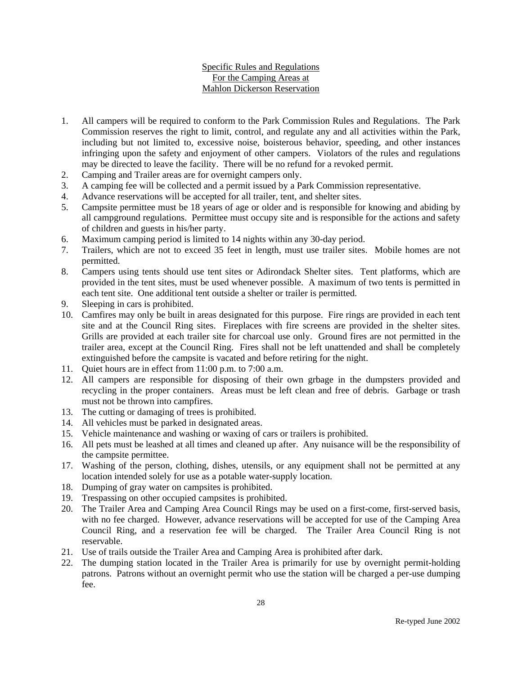# Specific Rules and Regulations For the Camping Areas at Mahlon Dickerson Reservation

- 1. All campers will be required to conform to the Park Commission Rules and Regulations. The Park Commission reserves the right to limit, control, and regulate any and all activities within the Park, including but not limited to, excessive noise, boisterous behavior, speeding, and other instances infringing upon the safety and enjoyment of other campers. Violators of the rules and regulations may be directed to leave the facility. There will be no refund for a revoked permit.
- 2. Camping and Trailer areas are for overnight campers only.
- 3. A camping fee will be collected and a permit issued by a Park Commission representative.
- 4. Advance reservations will be accepted for all trailer, tent, and shelter sites.
- 5. Campsite permittee must be 18 years of age or older and is responsible for knowing and abiding by all campground regulations. Permittee must occupy site and is responsible for the actions and safety of children and guests in his/her party.
- 6. Maximum camping period is limited to 14 nights within any 30-day period.
- 7. Trailers, which are not to exceed 35 feet in length, must use trailer sites. Mobile homes are not permitted.
- 8. Campers using tents should use tent sites or Adirondack Shelter sites. Tent platforms, which are provided in the tent sites, must be used whenever possible. A maximum of two tents is permitted in each tent site. One additional tent outside a shelter or trailer is permitted.
- 9. Sleeping in cars is prohibited.
- 10. Camfires may only be built in areas designated for this purpose. Fire rings are provided in each tent site and at the Council Ring sites. Fireplaces with fire screens are provided in the shelter sites. Grills are provided at each trailer site for charcoal use only. Ground fires are not permitted in the trailer area, except at the Council Ring. Fires shall not be left unattended and shall be completely extinguished before the campsite is vacated and before retiring for the night.
- 11. Quiet hours are in effect from 11:00 p.m. to 7:00 a.m.
- 12. All campers are responsible for disposing of their own grbage in the dumpsters provided and recycling in the proper containers. Areas must be left clean and free of debris. Garbage or trash must not be thrown into campfires.
- 13. The cutting or damaging of trees is prohibited.
- 14. All vehicles must be parked in designated areas.
- 15. Vehicle maintenance and washing or waxing of cars or trailers is prohibited.
- 16. All pets must be leashed at all times and cleaned up after. Any nuisance will be the responsibility of the campsite permittee.
- 17. Washing of the person, clothing, dishes, utensils, or any equipment shall not be permitted at any location intended solely for use as a potable water-supply location.
- 18. Dumping of gray water on campsites is prohibited.
- 19. Trespassing on other occupied campsites is prohibited.
- 20. The Trailer Area and Camping Area Council Rings may be used on a first-come, first-served basis, with no fee charged. However, advance reservations will be accepted for use of the Camping Area Council Ring, and a reservation fee will be charged. The Trailer Area Council Ring is not reservable.
- 21. Use of trails outside the Trailer Area and Camping Area is prohibited after dark.
- 22. The dumping station located in the Trailer Area is primarily for use by overnight permit-holding patrons. Patrons without an overnight permit who use the station will be charged a per-use dumping fee.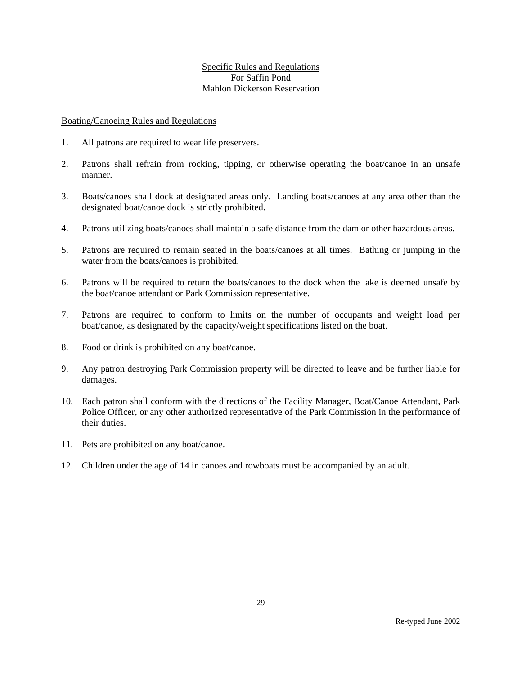### Specific Rules and Regulations For Saffin Pond Mahlon Dickerson Reservation

#### Boating/Canoeing Rules and Regulations

- 1. All patrons are required to wear life preservers.
- 2. Patrons shall refrain from rocking, tipping, or otherwise operating the boat/canoe in an unsafe manner.
- 3. Boats/canoes shall dock at designated areas only. Landing boats/canoes at any area other than the designated boat/canoe dock is strictly prohibited.
- 4. Patrons utilizing boats/canoes shall maintain a safe distance from the dam or other hazardous areas.
- 5. Patrons are required to remain seated in the boats/canoes at all times. Bathing or jumping in the water from the boats/canoes is prohibited.
- 6. Patrons will be required to return the boats/canoes to the dock when the lake is deemed unsafe by the boat/canoe attendant or Park Commission representative.
- 7. Patrons are required to conform to limits on the number of occupants and weight load per boat/canoe, as designated by the capacity/weight specifications listed on the boat.
- 8. Food or drink is prohibited on any boat/canoe.
- 9. Any patron destroying Park Commission property will be directed to leave and be further liable for damages.
- 10. Each patron shall conform with the directions of the Facility Manager, Boat/Canoe Attendant, Park Police Officer, or any other authorized representative of the Park Commission in the performance of their duties.
- 11. Pets are prohibited on any boat/canoe.
- 12. Children under the age of 14 in canoes and rowboats must be accompanied by an adult.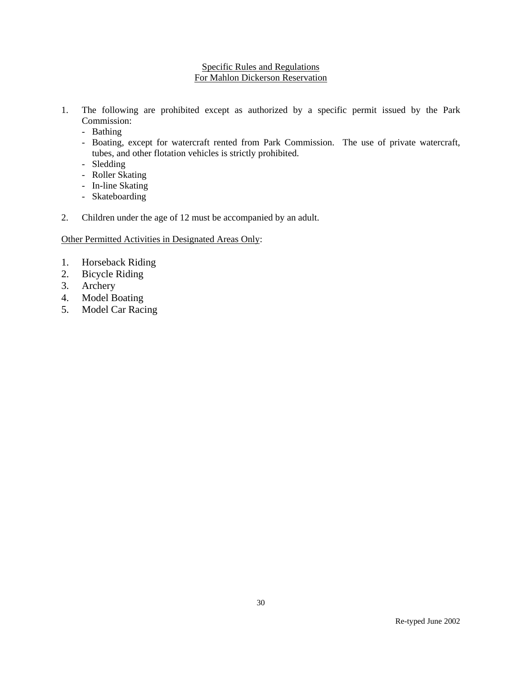### Specific Rules and Regulations For Mahlon Dickerson Reservation

- 1. The following are prohibited except as authorized by a specific permit issued by the Park Commission:
	- Bathing
	- Boating, except for watercraft rented from Park Commission. The use of private watercraft, tubes, and other flotation vehicles is strictly prohibited.
	- Sledding
	- Roller Skating
	- In-line Skating
	- Skateboarding
- 2. Children under the age of 12 must be accompanied by an adult.

# Other Permitted Activities in Designated Areas Only:

- 1. Horseback Riding
- 2. Bicycle Riding
- 3. Archery
- 4. Model Boating
- 5. Model Car Racing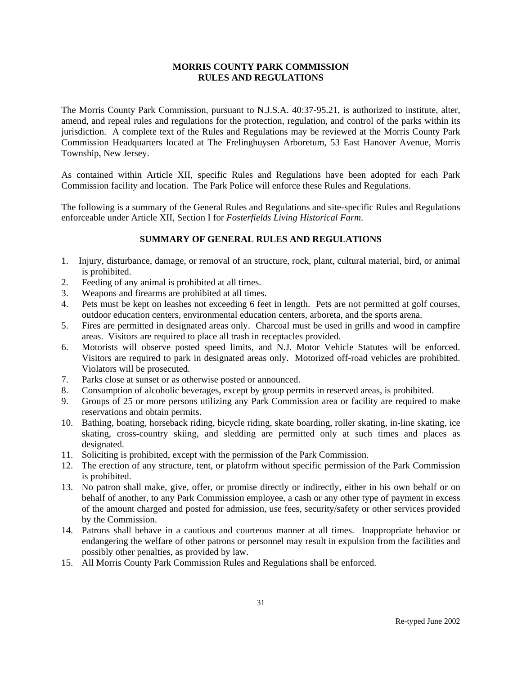The Morris County Park Commission, pursuant to N.J.S.A. 40:37-95.21, is authorized to institute, alter, amend, and repeal rules and regulations for the protection, regulation, and control of the parks within its jurisdiction. A complete text of the Rules and Regulations may be reviewed at the Morris County Park Commission Headquarters located at The Frelinghuysen Arboretum, 53 East Hanover Avenue, Morris Township, New Jersey.

As contained within Article XII, specific Rules and Regulations have been adopted for each Park Commission facility and location. The Park Police will enforce these Rules and Regulations.

The following is a summary of the General Rules and Regulations and site-specific Rules and Regulations enforceable under Article XII, Section I for *Fosterfields Living Historical Farm*.

- 1. Injury, disturbance, damage, or removal of an structure, rock, plant, cultural material, bird, or animal is prohibited.
- 2. Feeding of any animal is prohibited at all times.
- 3. Weapons and firearms are prohibited at all times.
- 4. Pets must be kept on leashes not exceeding 6 feet in length. Pets are not permitted at golf courses, outdoor education centers, environmental education centers, arboreta, and the sports arena.
- 5. Fires are permitted in designated areas only. Charcoal must be used in grills and wood in campfire areas. Visitors are required to place all trash in receptacles provided.
- 6. Motorists will observe posted speed limits, and N.J. Motor Vehicle Statutes will be enforced. Visitors are required to park in designated areas only. Motorized off-road vehicles are prohibited. Violators will be prosecuted.
- 7. Parks close at sunset or as otherwise posted or announced.
- 8. Consumption of alcoholic beverages, except by group permits in reserved areas, is prohibited.
- 9. Groups of 25 or more persons utilizing any Park Commission area or facility are required to make reservations and obtain permits.
- 10. Bathing, boating, horseback riding, bicycle riding, skate boarding, roller skating, in-line skating, ice skating, cross-country skiing, and sledding are permitted only at such times and places as designated.
- 11. Soliciting is prohibited, except with the permission of the Park Commission.
- 12. The erection of any structure, tent, or platofrm without specific permission of the Park Commission is prohibited.
- 13. No patron shall make, give, offer, or promise directly or indirectly, either in his own behalf or on behalf of another, to any Park Commission employee, a cash or any other type of payment in excess of the amount charged and posted for admission, use fees, security/safety or other services provided by the Commission.
- 14. Patrons shall behave in a cautious and courteous manner at all times. Inappropriate behavior or endangering the welfare of other patrons or personnel may result in expulsion from the facilities and possibly other penalties, as provided by law.
- 15. All Morris County Park Commission Rules and Regulations shall be enforced.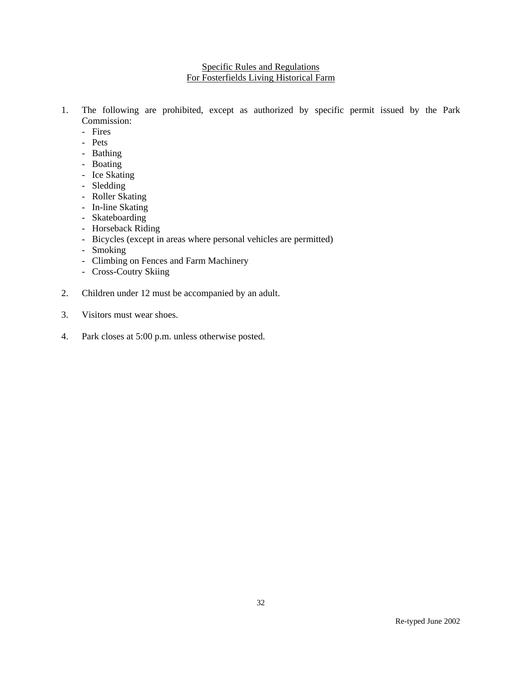# Specific Rules and Regulations For Fosterfields Living Historical Farm

- 1. The following are prohibited, except as authorized by specific permit issued by the Park Commission:
	- Fires
	- Pets
	- Bathing
	- Boating
	- Ice Skating
	- Sledding
	- Roller Skating
	- In-line Skating
	- Skateboarding
	- Horseback Riding
	- Bicycles (except in areas where personal vehicles are permitted)
	- Smoking
	- Climbing on Fences and Farm Machinery
	- Cross-Coutry Skiing
- 2. Children under 12 must be accompanied by an adult.
- 3. Visitors must wear shoes.
- 4. Park closes at 5:00 p.m. unless otherwise posted.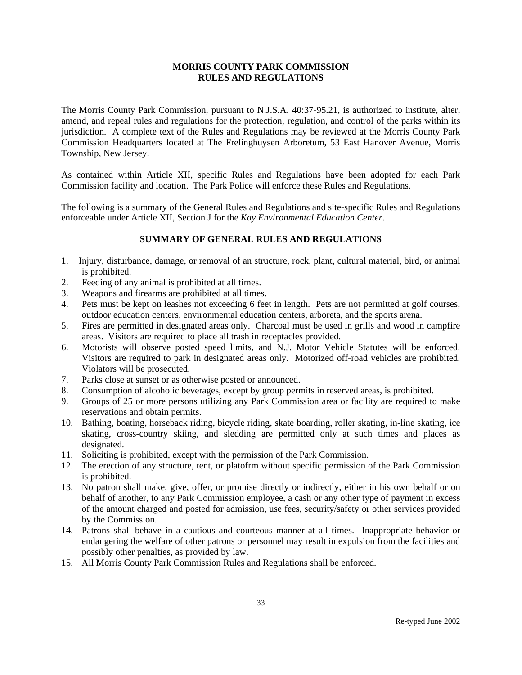The Morris County Park Commission, pursuant to N.J.S.A. 40:37-95.21, is authorized to institute, alter, amend, and repeal rules and regulations for the protection, regulation, and control of the parks within its jurisdiction. A complete text of the Rules and Regulations may be reviewed at the Morris County Park Commission Headquarters located at The Frelinghuysen Arboretum, 53 East Hanover Avenue, Morris Township, New Jersey.

As contained within Article XII, specific Rules and Regulations have been adopted for each Park Commission facility and location. The Park Police will enforce these Rules and Regulations.

The following is a summary of the General Rules and Regulations and site-specific Rules and Regulations enforceable under Article XII, Section J for the *Kay Environmental Education Center*.

- 1. Injury, disturbance, damage, or removal of an structure, rock, plant, cultural material, bird, or animal is prohibited.
- 2. Feeding of any animal is prohibited at all times.
- 3. Weapons and firearms are prohibited at all times.
- 4. Pets must be kept on leashes not exceeding 6 feet in length. Pets are not permitted at golf courses, outdoor education centers, environmental education centers, arboreta, and the sports arena.
- 5. Fires are permitted in designated areas only. Charcoal must be used in grills and wood in campfire areas. Visitors are required to place all trash in receptacles provided.
- 6. Motorists will observe posted speed limits, and N.J. Motor Vehicle Statutes will be enforced. Visitors are required to park in designated areas only. Motorized off-road vehicles are prohibited. Violators will be prosecuted.
- 7. Parks close at sunset or as otherwise posted or announced.
- 8. Consumption of alcoholic beverages, except by group permits in reserved areas, is prohibited.
- 9. Groups of 25 or more persons utilizing any Park Commission area or facility are required to make reservations and obtain permits.
- 10. Bathing, boating, horseback riding, bicycle riding, skate boarding, roller skating, in-line skating, ice skating, cross-country skiing, and sledding are permitted only at such times and places as designated.
- 11. Soliciting is prohibited, except with the permission of the Park Commission.
- 12. The erection of any structure, tent, or platofrm without specific permission of the Park Commission is prohibited.
- 13. No patron shall make, give, offer, or promise directly or indirectly, either in his own behalf or on behalf of another, to any Park Commission employee, a cash or any other type of payment in excess of the amount charged and posted for admission, use fees, security/safety or other services provided by the Commission.
- 14. Patrons shall behave in a cautious and courteous manner at all times. Inappropriate behavior or endangering the welfare of other patrons or personnel may result in expulsion from the facilities and possibly other penalties, as provided by law.
- 15. All Morris County Park Commission Rules and Regulations shall be enforced.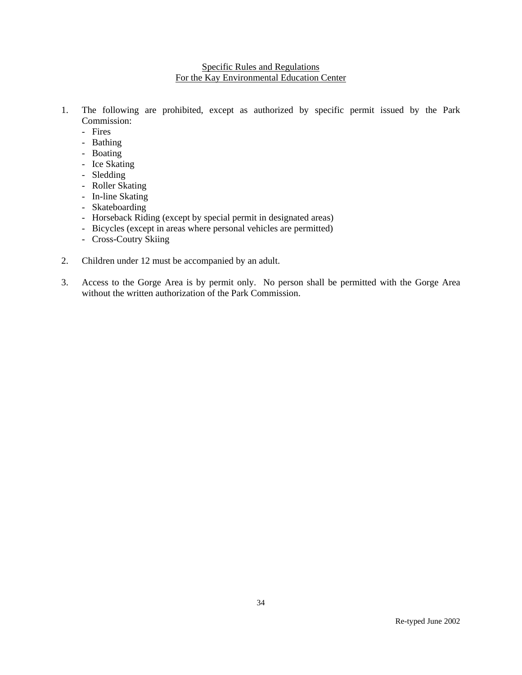### Specific Rules and Regulations For the Kay Environmental Education Center

- 1. The following are prohibited, except as authorized by specific permit issued by the Park Commission:
	- Fires
	- Bathing
	- Boating
	- Ice Skating
	- Sledding
	- Roller Skating
	- In-line Skating
	- Skateboarding
	- Horseback Riding (except by special permit in designated areas)
	- Bicycles (except in areas where personal vehicles are permitted)
	- Cross-Coutry Skiing
- 2. Children under 12 must be accompanied by an adult.
- 3. Access to the Gorge Area is by permit only. No person shall be permitted with the Gorge Area without the written authorization of the Park Commission.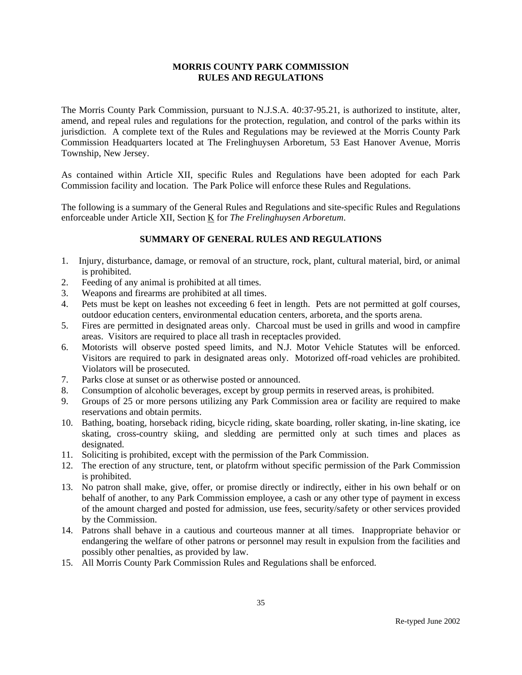The Morris County Park Commission, pursuant to N.J.S.A. 40:37-95.21, is authorized to institute, alter, amend, and repeal rules and regulations for the protection, regulation, and control of the parks within its jurisdiction. A complete text of the Rules and Regulations may be reviewed at the Morris County Park Commission Headquarters located at The Frelinghuysen Arboretum, 53 East Hanover Avenue, Morris Township, New Jersey.

As contained within Article XII, specific Rules and Regulations have been adopted for each Park Commission facility and location. The Park Police will enforce these Rules and Regulations.

The following is a summary of the General Rules and Regulations and site-specific Rules and Regulations enforceable under Article XII, Section K for *The Frelinghuysen Arboretum*.

- 1. Injury, disturbance, damage, or removal of an structure, rock, plant, cultural material, bird, or animal is prohibited.
- 2. Feeding of any animal is prohibited at all times.
- 3. Weapons and firearms are prohibited at all times.
- 4. Pets must be kept on leashes not exceeding 6 feet in length. Pets are not permitted at golf courses, outdoor education centers, environmental education centers, arboreta, and the sports arena.
- 5. Fires are permitted in designated areas only. Charcoal must be used in grills and wood in campfire areas. Visitors are required to place all trash in receptacles provided.
- 6. Motorists will observe posted speed limits, and N.J. Motor Vehicle Statutes will be enforced. Visitors are required to park in designated areas only. Motorized off-road vehicles are prohibited. Violators will be prosecuted.
- 7. Parks close at sunset or as otherwise posted or announced.
- 8. Consumption of alcoholic beverages, except by group permits in reserved areas, is prohibited.
- 9. Groups of 25 or more persons utilizing any Park Commission area or facility are required to make reservations and obtain permits.
- 10. Bathing, boating, horseback riding, bicycle riding, skate boarding, roller skating, in-line skating, ice skating, cross-country skiing, and sledding are permitted only at such times and places as designated.
- 11. Soliciting is prohibited, except with the permission of the Park Commission.
- 12. The erection of any structure, tent, or platofrm without specific permission of the Park Commission is prohibited.
- 13. No patron shall make, give, offer, or promise directly or indirectly, either in his own behalf or on behalf of another, to any Park Commission employee, a cash or any other type of payment in excess of the amount charged and posted for admission, use fees, security/safety or other services provided by the Commission.
- 14. Patrons shall behave in a cautious and courteous manner at all times. Inappropriate behavior or endangering the welfare of other patrons or personnel may result in expulsion from the facilities and possibly other penalties, as provided by law.
- 15. All Morris County Park Commission Rules and Regulations shall be enforced.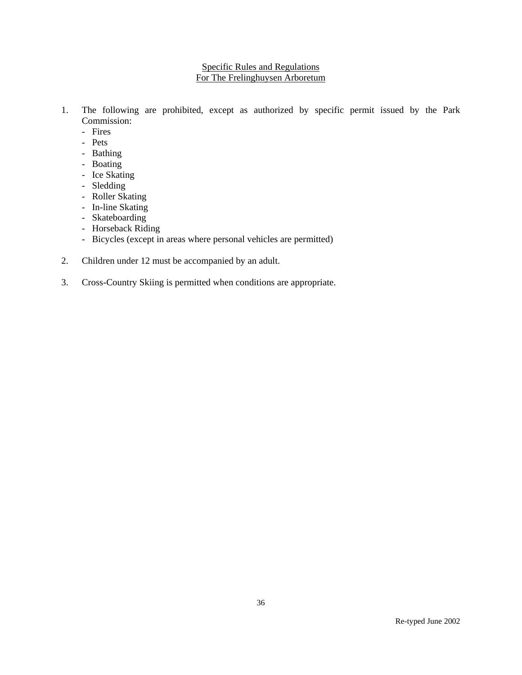# Specific Rules and Regulations For The Frelinghuysen Arboretum

- 1. The following are prohibited, except as authorized by specific permit issued by the Park Commission:
	- Fires
	- Pets
	- Bathing
	- Boating
	- Ice Skating
	- Sledding
	- Roller Skating
	- In-line Skating
	- Skateboarding
	- Horseback Riding
	- Bicycles (except in areas where personal vehicles are permitted)
- 2. Children under 12 must be accompanied by an adult.
- 3. Cross-Country Skiing is permitted when conditions are appropriate.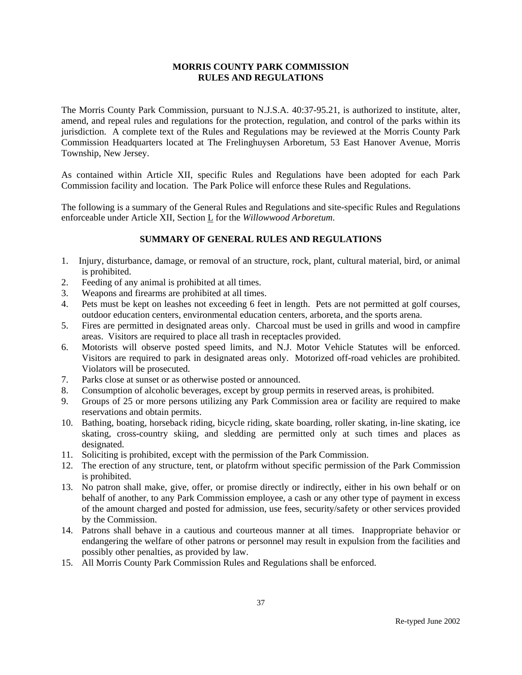The Morris County Park Commission, pursuant to N.J.S.A. 40:37-95.21, is authorized to institute, alter, amend, and repeal rules and regulations for the protection, regulation, and control of the parks within its jurisdiction. A complete text of the Rules and Regulations may be reviewed at the Morris County Park Commission Headquarters located at The Frelinghuysen Arboretum, 53 East Hanover Avenue, Morris Township, New Jersey.

As contained within Article XII, specific Rules and Regulations have been adopted for each Park Commission facility and location. The Park Police will enforce these Rules and Regulations.

The following is a summary of the General Rules and Regulations and site-specific Rules and Regulations enforceable under Article XII, Section L for the *Willowwood Arboretum*.

- 1. Injury, disturbance, damage, or removal of an structure, rock, plant, cultural material, bird, or animal is prohibited.
- 2. Feeding of any animal is prohibited at all times.
- 3. Weapons and firearms are prohibited at all times.
- 4. Pets must be kept on leashes not exceeding 6 feet in length. Pets are not permitted at golf courses, outdoor education centers, environmental education centers, arboreta, and the sports arena.
- 5. Fires are permitted in designated areas only. Charcoal must be used in grills and wood in campfire areas. Visitors are required to place all trash in receptacles provided.
- 6. Motorists will observe posted speed limits, and N.J. Motor Vehicle Statutes will be enforced. Visitors are required to park in designated areas only. Motorized off-road vehicles are prohibited. Violators will be prosecuted.
- 7. Parks close at sunset or as otherwise posted or announced.
- 8. Consumption of alcoholic beverages, except by group permits in reserved areas, is prohibited.
- 9. Groups of 25 or more persons utilizing any Park Commission area or facility are required to make reservations and obtain permits.
- 10. Bathing, boating, horseback riding, bicycle riding, skate boarding, roller skating, in-line skating, ice skating, cross-country skiing, and sledding are permitted only at such times and places as designated.
- 11. Soliciting is prohibited, except with the permission of the Park Commission.
- 12. The erection of any structure, tent, or platofrm without specific permission of the Park Commission is prohibited.
- 13. No patron shall make, give, offer, or promise directly or indirectly, either in his own behalf or on behalf of another, to any Park Commission employee, a cash or any other type of payment in excess of the amount charged and posted for admission, use fees, security/safety or other services provided by the Commission.
- 14. Patrons shall behave in a cautious and courteous manner at all times. Inappropriate behavior or endangering the welfare of other patrons or personnel may result in expulsion from the facilities and possibly other penalties, as provided by law.
- 15. All Morris County Park Commission Rules and Regulations shall be enforced.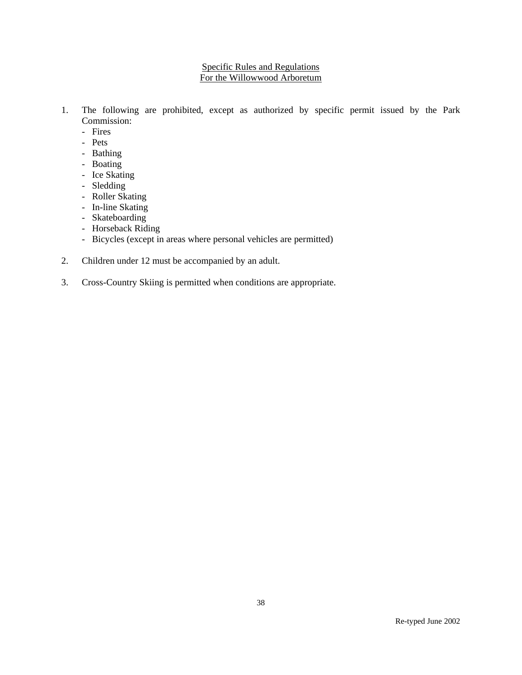# Specific Rules and Regulations For the Willowwood Arboretum

- 1. The following are prohibited, except as authorized by specific permit issued by the Park Commission:
	- Fires
	- Pets
	- Bathing
	- Boating
	- Ice Skating
	- Sledding
	- Roller Skating
	- In-line Skating
	- Skateboarding
	- Horseback Riding
	- Bicycles (except in areas where personal vehicles are permitted)
- 2. Children under 12 must be accompanied by an adult.
- 3. Cross-Country Skiing is permitted when conditions are appropriate.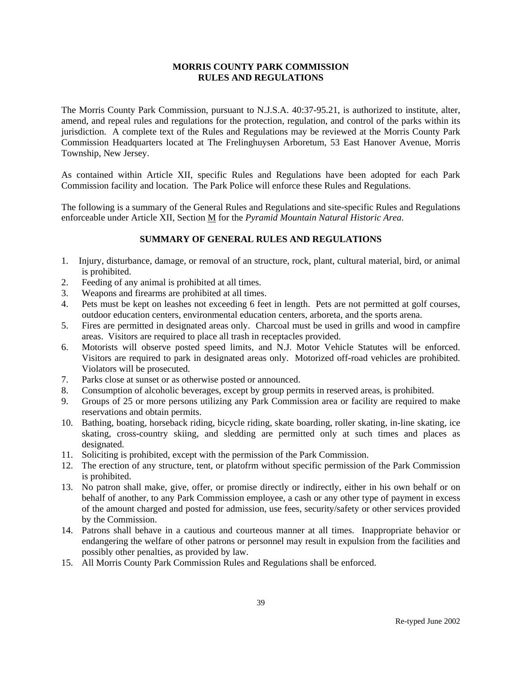The Morris County Park Commission, pursuant to N.J.S.A. 40:37-95.21, is authorized to institute, alter, amend, and repeal rules and regulations for the protection, regulation, and control of the parks within its jurisdiction. A complete text of the Rules and Regulations may be reviewed at the Morris County Park Commission Headquarters located at The Frelinghuysen Arboretum, 53 East Hanover Avenue, Morris Township, New Jersey.

As contained within Article XII, specific Rules and Regulations have been adopted for each Park Commission facility and location. The Park Police will enforce these Rules and Regulations.

The following is a summary of the General Rules and Regulations and site-specific Rules and Regulations enforceable under Article XII, Section M for the *Pyramid Mountain Natural Historic Area*.

- 1. Injury, disturbance, damage, or removal of an structure, rock, plant, cultural material, bird, or animal is prohibited.
- 2. Feeding of any animal is prohibited at all times.
- 3. Weapons and firearms are prohibited at all times.
- 4. Pets must be kept on leashes not exceeding 6 feet in length. Pets are not permitted at golf courses, outdoor education centers, environmental education centers, arboreta, and the sports arena.
- 5. Fires are permitted in designated areas only. Charcoal must be used in grills and wood in campfire areas. Visitors are required to place all trash in receptacles provided.
- 6. Motorists will observe posted speed limits, and N.J. Motor Vehicle Statutes will be enforced. Visitors are required to park in designated areas only. Motorized off-road vehicles are prohibited. Violators will be prosecuted.
- 7. Parks close at sunset or as otherwise posted or announced.
- 8. Consumption of alcoholic beverages, except by group permits in reserved areas, is prohibited.
- 9. Groups of 25 or more persons utilizing any Park Commission area or facility are required to make reservations and obtain permits.
- 10. Bathing, boating, horseback riding, bicycle riding, skate boarding, roller skating, in-line skating, ice skating, cross-country skiing, and sledding are permitted only at such times and places as designated.
- 11. Soliciting is prohibited, except with the permission of the Park Commission.
- 12. The erection of any structure, tent, or platofrm without specific permission of the Park Commission is prohibited.
- 13. No patron shall make, give, offer, or promise directly or indirectly, either in his own behalf or on behalf of another, to any Park Commission employee, a cash or any other type of payment in excess of the amount charged and posted for admission, use fees, security/safety or other services provided by the Commission.
- 14. Patrons shall behave in a cautious and courteous manner at all times. Inappropriate behavior or endangering the welfare of other patrons or personnel may result in expulsion from the facilities and possibly other penalties, as provided by law.
- 15. All Morris County Park Commission Rules and Regulations shall be enforced.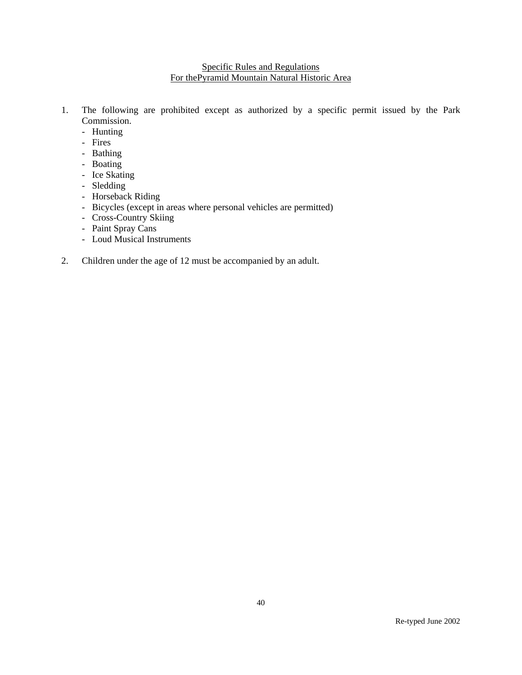# Specific Rules and Regulations For thePyramid Mountain Natural Historic Area

- 1. The following are prohibited except as authorized by a specific permit issued by the Park Commission.
	- Hunting
	- Fires
	- Bathing
	- Boating
	- Ice Skating
	- Sledding
	- Horseback Riding
	- Bicycles (except in areas where personal vehicles are permitted)
	- Cross-Country Skiing
	- Paint Spray Cans
	- Loud Musical Instruments
- 2. Children under the age of 12 must be accompanied by an adult.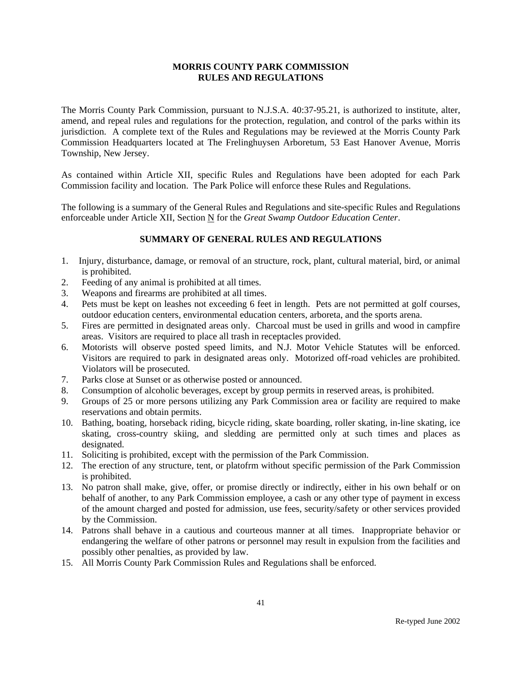The Morris County Park Commission, pursuant to N.J.S.A. 40:37-95.21, is authorized to institute, alter, amend, and repeal rules and regulations for the protection, regulation, and control of the parks within its jurisdiction. A complete text of the Rules and Regulations may be reviewed at the Morris County Park Commission Headquarters located at The Frelinghuysen Arboretum, 53 East Hanover Avenue, Morris Township, New Jersey.

As contained within Article XII, specific Rules and Regulations have been adopted for each Park Commission facility and location. The Park Police will enforce these Rules and Regulations.

The following is a summary of the General Rules and Regulations and site-specific Rules and Regulations enforceable under Article XII, Section N for the *Great Swamp Outdoor Education Center*.

- 1. Injury, disturbance, damage, or removal of an structure, rock, plant, cultural material, bird, or animal is prohibited.
- 2. Feeding of any animal is prohibited at all times.
- 3. Weapons and firearms are prohibited at all times.
- 4. Pets must be kept on leashes not exceeding 6 feet in length. Pets are not permitted at golf courses, outdoor education centers, environmental education centers, arboreta, and the sports arena.
- 5. Fires are permitted in designated areas only. Charcoal must be used in grills and wood in campfire areas. Visitors are required to place all trash in receptacles provided.
- 6. Motorists will observe posted speed limits, and N.J. Motor Vehicle Statutes will be enforced. Visitors are required to park in designated areas only. Motorized off-road vehicles are prohibited. Violators will be prosecuted.
- 7. Parks close at Sunset or as otherwise posted or announced.
- 8. Consumption of alcoholic beverages, except by group permits in reserved areas, is prohibited.
- 9. Groups of 25 or more persons utilizing any Park Commission area or facility are required to make reservations and obtain permits.
- 10. Bathing, boating, horseback riding, bicycle riding, skate boarding, roller skating, in-line skating, ice skating, cross-country skiing, and sledding are permitted only at such times and places as designated.
- 11. Soliciting is prohibited, except with the permission of the Park Commission.
- 12. The erection of any structure, tent, or platofrm without specific permission of the Park Commission is prohibited.
- 13. No patron shall make, give, offer, or promise directly or indirectly, either in his own behalf or on behalf of another, to any Park Commission employee, a cash or any other type of payment in excess of the amount charged and posted for admission, use fees, security/safety or other services provided by the Commission.
- 14. Patrons shall behave in a cautious and courteous manner at all times. Inappropriate behavior or endangering the welfare of other patrons or personnel may result in expulsion from the facilities and possibly other penalties, as provided by law.
- 15. All Morris County Park Commission Rules and Regulations shall be enforced.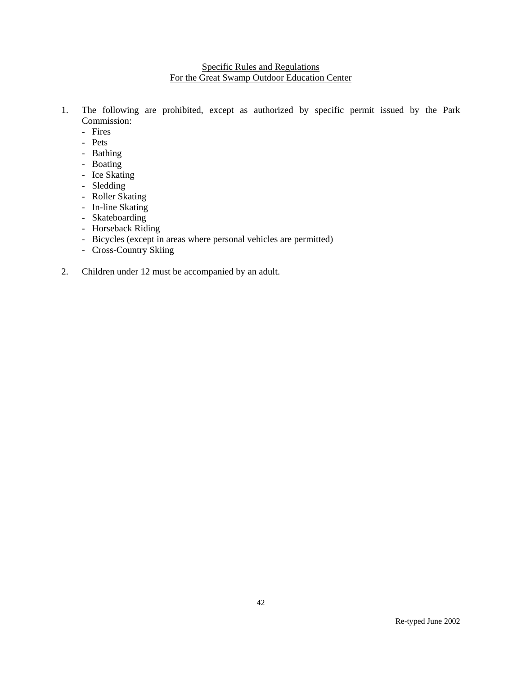# Specific Rules and Regulations For the Great Swamp Outdoor Education Center

- 1. The following are prohibited, except as authorized by specific permit issued by the Park Commission:
	- Fires
	- Pets
	- Bathing
	- Boating
	- Ice Skating
	- Sledding
	- Roller Skating
	- In-line Skating
	- Skateboarding
	- Horseback Riding
	- Bicycles (except in areas where personal vehicles are permitted)
	- Cross-Country Skiing
- 2. Children under 12 must be accompanied by an adult.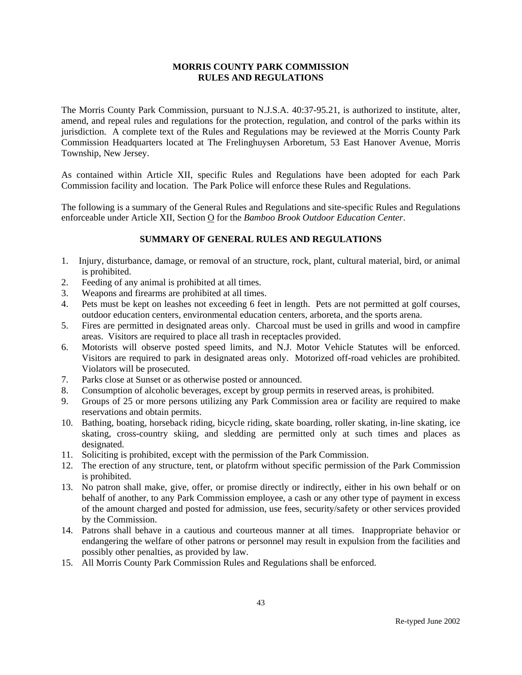The Morris County Park Commission, pursuant to N.J.S.A. 40:37-95.21, is authorized to institute, alter, amend, and repeal rules and regulations for the protection, regulation, and control of the parks within its jurisdiction. A complete text of the Rules and Regulations may be reviewed at the Morris County Park Commission Headquarters located at The Frelinghuysen Arboretum, 53 East Hanover Avenue, Morris Township, New Jersey.

As contained within Article XII, specific Rules and Regulations have been adopted for each Park Commission facility and location. The Park Police will enforce these Rules and Regulations.

The following is a summary of the General Rules and Regulations and site-specific Rules and Regulations enforceable under Article XII, Section O for the *Bamboo Brook Outdoor Education Center*.

- 1. Injury, disturbance, damage, or removal of an structure, rock, plant, cultural material, bird, or animal is prohibited.
- 2. Feeding of any animal is prohibited at all times.
- 3. Weapons and firearms are prohibited at all times.
- 4. Pets must be kept on leashes not exceeding 6 feet in length. Pets are not permitted at golf courses, outdoor education centers, environmental education centers, arboreta, and the sports arena.
- 5. Fires are permitted in designated areas only. Charcoal must be used in grills and wood in campfire areas. Visitors are required to place all trash in receptacles provided.
- 6. Motorists will observe posted speed limits, and N.J. Motor Vehicle Statutes will be enforced. Visitors are required to park in designated areas only. Motorized off-road vehicles are prohibited. Violators will be prosecuted.
- 7. Parks close at Sunset or as otherwise posted or announced.
- 8. Consumption of alcoholic beverages, except by group permits in reserved areas, is prohibited.
- 9. Groups of 25 or more persons utilizing any Park Commission area or facility are required to make reservations and obtain permits.
- 10. Bathing, boating, horseback riding, bicycle riding, skate boarding, roller skating, in-line skating, ice skating, cross-country skiing, and sledding are permitted only at such times and places as designated.
- 11. Soliciting is prohibited, except with the permission of the Park Commission.
- 12. The erection of any structure, tent, or platofrm without specific permission of the Park Commission is prohibited.
- 13. No patron shall make, give, offer, or promise directly or indirectly, either in his own behalf or on behalf of another, to any Park Commission employee, a cash or any other type of payment in excess of the amount charged and posted for admission, use fees, security/safety or other services provided by the Commission.
- 14. Patrons shall behave in a cautious and courteous manner at all times. Inappropriate behavior or endangering the welfare of other patrons or personnel may result in expulsion from the facilities and possibly other penalties, as provided by law.
- 15. All Morris County Park Commission Rules and Regulations shall be enforced.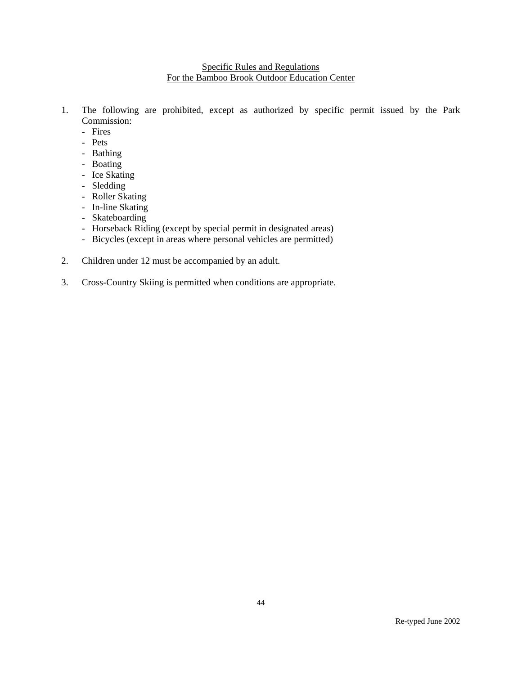# Specific Rules and Regulations For the Bamboo Brook Outdoor Education Center

- 1. The following are prohibited, except as authorized by specific permit issued by the Park Commission:
	- Fires
	- Pets
	- Bathing
	- Boating
	- Ice Skating
	- Sledding
	- Roller Skating
	- In-line Skating
	- Skateboarding
	- Horseback Riding (except by special permit in designated areas)
	- Bicycles (except in areas where personal vehicles are permitted)
- 2. Children under 12 must be accompanied by an adult.
- 3. Cross-Country Skiing is permitted when conditions are appropriate.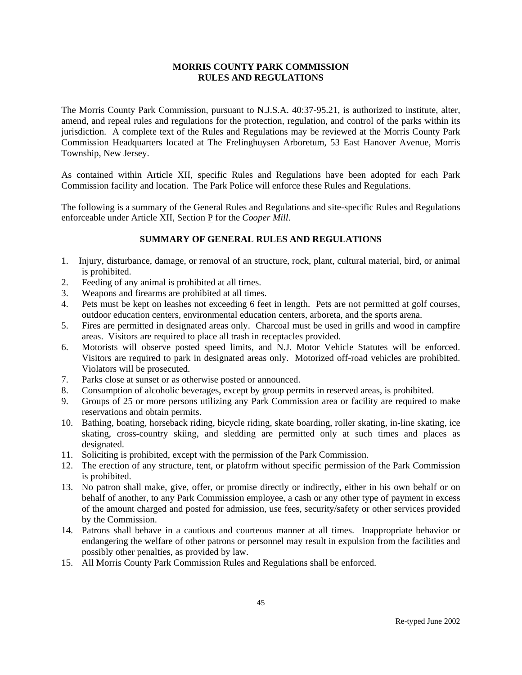The Morris County Park Commission, pursuant to N.J.S.A. 40:37-95.21, is authorized to institute, alter, amend, and repeal rules and regulations for the protection, regulation, and control of the parks within its jurisdiction. A complete text of the Rules and Regulations may be reviewed at the Morris County Park Commission Headquarters located at The Frelinghuysen Arboretum, 53 East Hanover Avenue, Morris Township, New Jersey.

As contained within Article XII, specific Rules and Regulations have been adopted for each Park Commission facility and location. The Park Police will enforce these Rules and Regulations.

The following is a summary of the General Rules and Regulations and site-specific Rules and Regulations enforceable under Article XII, Section P for the *Cooper Mill*.

- 1. Injury, disturbance, damage, or removal of an structure, rock, plant, cultural material, bird, or animal is prohibited.
- 2. Feeding of any animal is prohibited at all times.
- 3. Weapons and firearms are prohibited at all times.
- 4. Pets must be kept on leashes not exceeding 6 feet in length. Pets are not permitted at golf courses, outdoor education centers, environmental education centers, arboreta, and the sports arena.
- 5. Fires are permitted in designated areas only. Charcoal must be used in grills and wood in campfire areas. Visitors are required to place all trash in receptacles provided.
- 6. Motorists will observe posted speed limits, and N.J. Motor Vehicle Statutes will be enforced. Visitors are required to park in designated areas only. Motorized off-road vehicles are prohibited. Violators will be prosecuted.
- 7. Parks close at sunset or as otherwise posted or announced.
- 8. Consumption of alcoholic beverages, except by group permits in reserved areas, is prohibited.
- 9. Groups of 25 or more persons utilizing any Park Commission area or facility are required to make reservations and obtain permits.
- 10. Bathing, boating, horseback riding, bicycle riding, skate boarding, roller skating, in-line skating, ice skating, cross-country skiing, and sledding are permitted only at such times and places as designated.
- 11. Soliciting is prohibited, except with the permission of the Park Commission.
- 12. The erection of any structure, tent, or platofrm without specific permission of the Park Commission is prohibited.
- 13. No patron shall make, give, offer, or promise directly or indirectly, either in his own behalf or on behalf of another, to any Park Commission employee, a cash or any other type of payment in excess of the amount charged and posted for admission, use fees, security/safety or other services provided by the Commission.
- 14. Patrons shall behave in a cautious and courteous manner at all times. Inappropriate behavior or endangering the welfare of other patrons or personnel may result in expulsion from the facilities and possibly other penalties, as provided by law.
- 15. All Morris County Park Commission Rules and Regulations shall be enforced.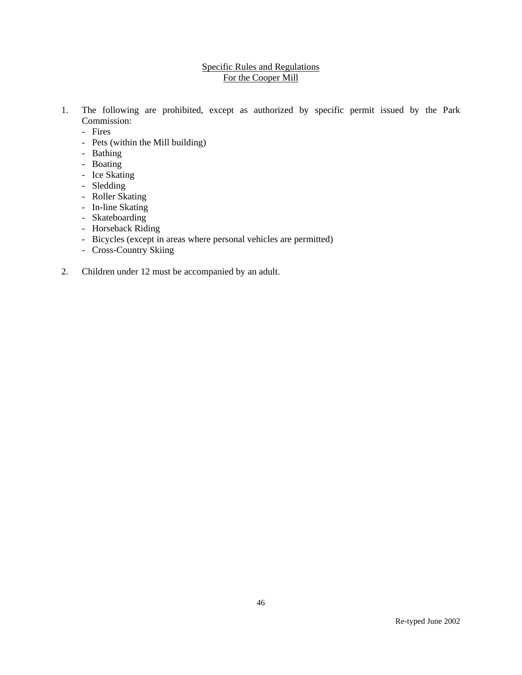# Specific Rules and Regulations For the Cooper Mill

- 1. The following are prohibited, except as authorized by specific permit issued by the Park Commission:
	- Fires
	- Pets (within the Mill building)
	- Bathing
	- Boating
	- Ice Skating
	- Sledding
	- Roller Skating
	- In-line Skating
	- Skateboarding
	- Horseback Riding
	- Bicycles (except in areas where personal vehicles are permitted)
	- Cross-Country Skiing
- 2. Children under 12 must be accompanied by an adult.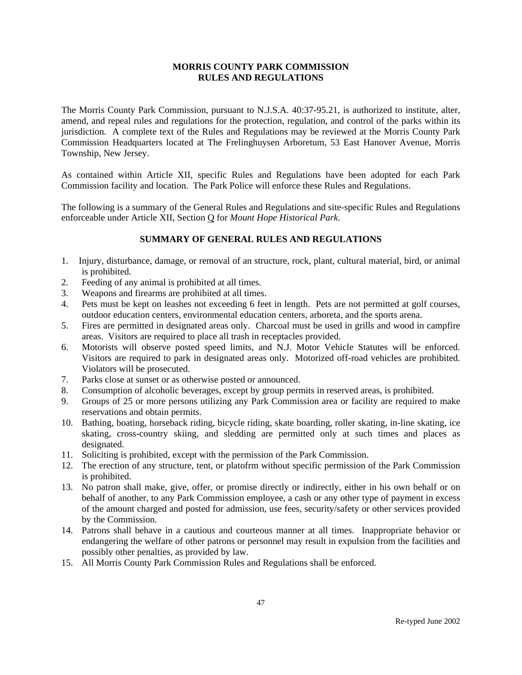The Morris County Park Commission, pursuant to N.J.S.A. 40:37-95.21, is authorized to institute, alter, amend, and repeal rules and regulations for the protection, regulation, and control of the parks within its jurisdiction. A complete text of the Rules and Regulations may be reviewed at the Morris County Park Commission Headquarters located at The Frelinghuysen Arboretum, 53 East Hanover Avenue, Morris Township, New Jersey.

As contained within Article XII, specific Rules and Regulations have been adopted for each Park Commission facility and location. The Park Police will enforce these Rules and Regulations.

The following is a summary of the General Rules and Regulations and site-specific Rules and Regulations enforceable under Article XII, Section Q for *Mount Hope Historical Park*.

- 1. Injury, disturbance, damage, or removal of an structure, rock, plant, cultural material, bird, or animal is prohibited.
- 2. Feeding of any animal is prohibited at all times.
- 3. Weapons and firearms are prohibited at all times.
- 4. Pets must be kept on leashes not exceeding 6 feet in length. Pets are not permitted at golf courses, outdoor education centers, environmental education centers, arboreta, and the sports arena.
- 5. Fires are permitted in designated areas only. Charcoal must be used in grills and wood in campfire areas. Visitors are required to place all trash in receptacles provided.
- 6. Motorists will observe posted speed limits, and N.J. Motor Vehicle Statutes will be enforced. Visitors are required to park in designated areas only. Motorized off-road vehicles are prohibited. Violators will be prosecuted.
- 7. Parks close at sunset or as otherwise posted or announced.
- 8. Consumption of alcoholic beverages, except by group permits in reserved areas, is prohibited.
- 9. Groups of 25 or more persons utilizing any Park Commission area or facility are required to make reservations and obtain permits.
- 10. Bathing, boating, horseback riding, bicycle riding, skate boarding, roller skating, in-line skating, ice skating, cross-country skiing, and sledding are permitted only at such times and places as designated.
- 11. Soliciting is prohibited, except with the permission of the Park Commission.
- 12. The erection of any structure, tent, or platofrm without specific permission of the Park Commission is prohibited.
- 13. No patron shall make, give, offer, or promise directly or indirectly, either in his own behalf or on behalf of another, to any Park Commission employee, a cash or any other type of payment in excess of the amount charged and posted for admission, use fees, security/safety or other services provided by the Commission.
- 14. Patrons shall behave in a cautious and courteous manner at all times. Inappropriate behavior or endangering the welfare of other patrons or personnel may result in expulsion from the facilities and possibly other penalties, as provided by law.
- 15. All Morris County Park Commission Rules and Regulations shall be enforced.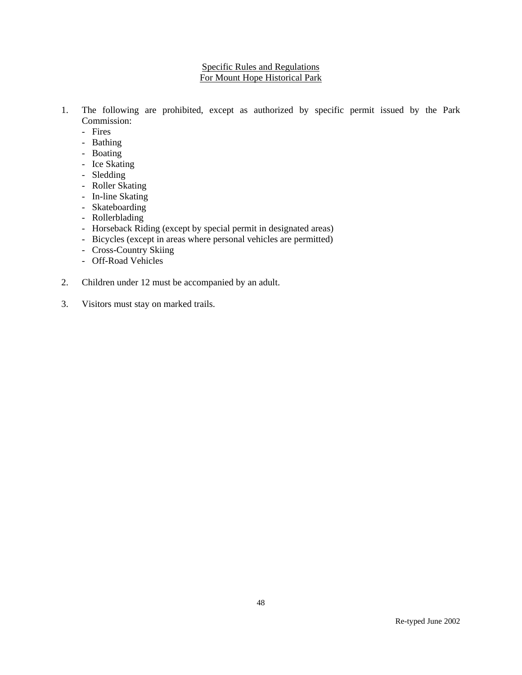### Specific Rules and Regulations For Mount Hope Historical Park

- 1. The following are prohibited, except as authorized by specific permit issued by the Park Commission:
	- Fires
	- Bathing
	- Boating
	- Ice Skating
	- Sledding
	- Roller Skating
	- In-line Skating
	- Skateboarding
	- Rollerblading
	- Horseback Riding (except by special permit in designated areas)
	- Bicycles (except in areas where personal vehicles are permitted)
	- Cross-Country Skiing
	- Off-Road Vehicles
- 2. Children under 12 must be accompanied by an adult.
- 3. Visitors must stay on marked trails.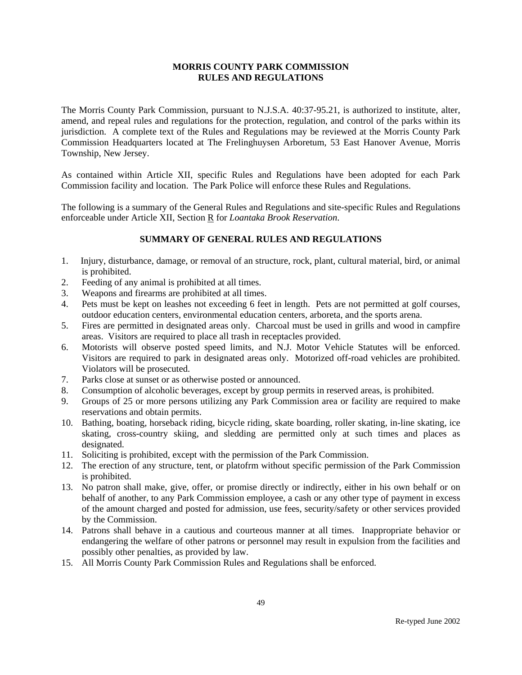The Morris County Park Commission, pursuant to N.J.S.A. 40:37-95.21, is authorized to institute, alter, amend, and repeal rules and regulations for the protection, regulation, and control of the parks within its jurisdiction. A complete text of the Rules and Regulations may be reviewed at the Morris County Park Commission Headquarters located at The Frelinghuysen Arboretum, 53 East Hanover Avenue, Morris Township, New Jersey.

As contained within Article XII, specific Rules and Regulations have been adopted for each Park Commission facility and location. The Park Police will enforce these Rules and Regulations.

The following is a summary of the General Rules and Regulations and site-specific Rules and Regulations enforceable under Article XII, Section R for *Loantaka Brook Reservation*.

- 1. Injury, disturbance, damage, or removal of an structure, rock, plant, cultural material, bird, or animal is prohibited.
- 2. Feeding of any animal is prohibited at all times.
- 3. Weapons and firearms are prohibited at all times.
- 4. Pets must be kept on leashes not exceeding 6 feet in length. Pets are not permitted at golf courses, outdoor education centers, environmental education centers, arboreta, and the sports arena.
- 5. Fires are permitted in designated areas only. Charcoal must be used in grills and wood in campfire areas. Visitors are required to place all trash in receptacles provided.
- 6. Motorists will observe posted speed limits, and N.J. Motor Vehicle Statutes will be enforced. Visitors are required to park in designated areas only. Motorized off-road vehicles are prohibited. Violators will be prosecuted.
- 7. Parks close at sunset or as otherwise posted or announced.
- 8. Consumption of alcoholic beverages, except by group permits in reserved areas, is prohibited.
- 9. Groups of 25 or more persons utilizing any Park Commission area or facility are required to make reservations and obtain permits.
- 10. Bathing, boating, horseback riding, bicycle riding, skate boarding, roller skating, in-line skating, ice skating, cross-country skiing, and sledding are permitted only at such times and places as designated.
- 11. Soliciting is prohibited, except with the permission of the Park Commission.
- 12. The erection of any structure, tent, or platofrm without specific permission of the Park Commission is prohibited.
- 13. No patron shall make, give, offer, or promise directly or indirectly, either in his own behalf or on behalf of another, to any Park Commission employee, a cash or any other type of payment in excess of the amount charged and posted for admission, use fees, security/safety or other services provided by the Commission.
- 14. Patrons shall behave in a cautious and courteous manner at all times. Inappropriate behavior or endangering the welfare of other patrons or personnel may result in expulsion from the facilities and possibly other penalties, as provided by law.
- 15. All Morris County Park Commission Rules and Regulations shall be enforced.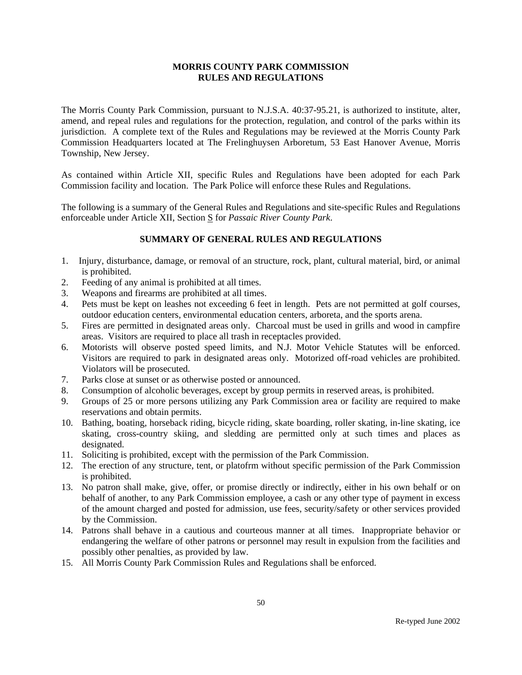The Morris County Park Commission, pursuant to N.J.S.A. 40:37-95.21, is authorized to institute, alter, amend, and repeal rules and regulations for the protection, regulation, and control of the parks within its jurisdiction. A complete text of the Rules and Regulations may be reviewed at the Morris County Park Commission Headquarters located at The Frelinghuysen Arboretum, 53 East Hanover Avenue, Morris Township, New Jersey.

As contained within Article XII, specific Rules and Regulations have been adopted for each Park Commission facility and location. The Park Police will enforce these Rules and Regulations.

The following is a summary of the General Rules and Regulations and site-specific Rules and Regulations enforceable under Article XII, Section S for *Passaic River County Park*.

- 1. Injury, disturbance, damage, or removal of an structure, rock, plant, cultural material, bird, or animal is prohibited.
- 2. Feeding of any animal is prohibited at all times.
- 3. Weapons and firearms are prohibited at all times.
- 4. Pets must be kept on leashes not exceeding 6 feet in length. Pets are not permitted at golf courses, outdoor education centers, environmental education centers, arboreta, and the sports arena.
- 5. Fires are permitted in designated areas only. Charcoal must be used in grills and wood in campfire areas. Visitors are required to place all trash in receptacles provided.
- 6. Motorists will observe posted speed limits, and N.J. Motor Vehicle Statutes will be enforced. Visitors are required to park in designated areas only. Motorized off-road vehicles are prohibited. Violators will be prosecuted.
- 7. Parks close at sunset or as otherwise posted or announced.
- 8. Consumption of alcoholic beverages, except by group permits in reserved areas, is prohibited.
- 9. Groups of 25 or more persons utilizing any Park Commission area or facility are required to make reservations and obtain permits.
- 10. Bathing, boating, horseback riding, bicycle riding, skate boarding, roller skating, in-line skating, ice skating, cross-country skiing, and sledding are permitted only at such times and places as designated.
- 11. Soliciting is prohibited, except with the permission of the Park Commission.
- 12. The erection of any structure, tent, or platofrm without specific permission of the Park Commission is prohibited.
- 13. No patron shall make, give, offer, or promise directly or indirectly, either in his own behalf or on behalf of another, to any Park Commission employee, a cash or any other type of payment in excess of the amount charged and posted for admission, use fees, security/safety or other services provided by the Commission.
- 14. Patrons shall behave in a cautious and courteous manner at all times. Inappropriate behavior or endangering the welfare of other patrons or personnel may result in expulsion from the facilities and possibly other penalties, as provided by law.
- 15. All Morris County Park Commission Rules and Regulations shall be enforced.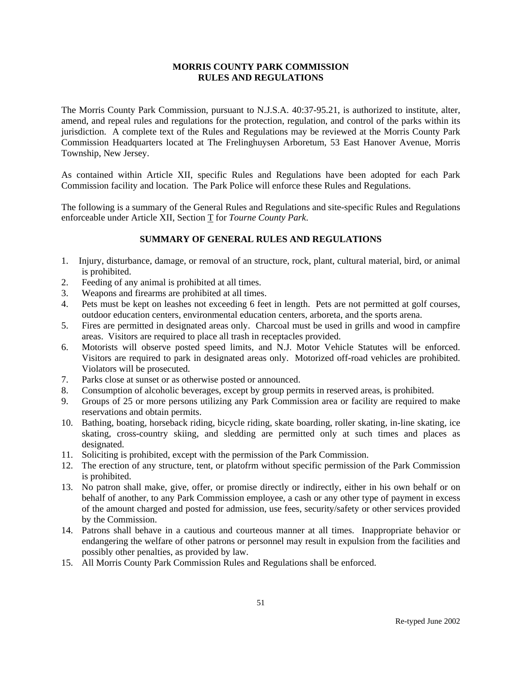The Morris County Park Commission, pursuant to N.J.S.A. 40:37-95.21, is authorized to institute, alter, amend, and repeal rules and regulations for the protection, regulation, and control of the parks within its jurisdiction. A complete text of the Rules and Regulations may be reviewed at the Morris County Park Commission Headquarters located at The Frelinghuysen Arboretum, 53 East Hanover Avenue, Morris Township, New Jersey.

As contained within Article XII, specific Rules and Regulations have been adopted for each Park Commission facility and location. The Park Police will enforce these Rules and Regulations.

The following is a summary of the General Rules and Regulations and site-specific Rules and Regulations enforceable under Article XII, Section T for *Tourne County Park*.

- 1. Injury, disturbance, damage, or removal of an structure, rock, plant, cultural material, bird, or animal is prohibited.
- 2. Feeding of any animal is prohibited at all times.
- 3. Weapons and firearms are prohibited at all times.
- 4. Pets must be kept on leashes not exceeding 6 feet in length. Pets are not permitted at golf courses, outdoor education centers, environmental education centers, arboreta, and the sports arena.
- 5. Fires are permitted in designated areas only. Charcoal must be used in grills and wood in campfire areas. Visitors are required to place all trash in receptacles provided.
- 6. Motorists will observe posted speed limits, and N.J. Motor Vehicle Statutes will be enforced. Visitors are required to park in designated areas only. Motorized off-road vehicles are prohibited. Violators will be prosecuted.
- 7. Parks close at sunset or as otherwise posted or announced.
- 8. Consumption of alcoholic beverages, except by group permits in reserved areas, is prohibited.
- 9. Groups of 25 or more persons utilizing any Park Commission area or facility are required to make reservations and obtain permits.
- 10. Bathing, boating, horseback riding, bicycle riding, skate boarding, roller skating, in-line skating, ice skating, cross-country skiing, and sledding are permitted only at such times and places as designated.
- 11. Soliciting is prohibited, except with the permission of the Park Commission.
- 12. The erection of any structure, tent, or platofrm without specific permission of the Park Commission is prohibited.
- 13. No patron shall make, give, offer, or promise directly or indirectly, either in his own behalf or on behalf of another, to any Park Commission employee, a cash or any other type of payment in excess of the amount charged and posted for admission, use fees, security/safety or other services provided by the Commission.
- 14. Patrons shall behave in a cautious and courteous manner at all times. Inappropriate behavior or endangering the welfare of other patrons or personnel may result in expulsion from the facilities and possibly other penalties, as provided by law.
- 15. All Morris County Park Commission Rules and Regulations shall be enforced.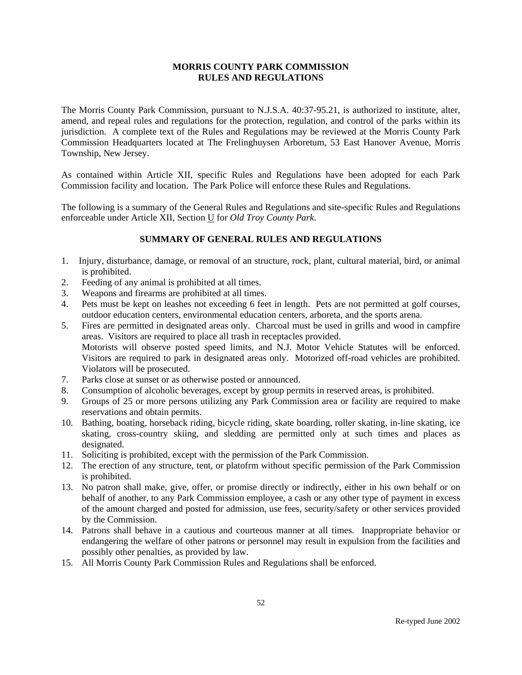The Morris County Park Commission, pursuant to N.J.S.A. 40:37-95.21, is authorized to institute, alter, amend, and repeal rules and regulations for the protection, regulation, and control of the parks within its jurisdiction. A complete text of the Rules and Regulations may be reviewed at the Morris County Park Commission Headquarters located at The Frelinghuysen Arboretum, 53 East Hanover Avenue, Morris Township, New Jersey.

As contained within Article XII, specific Rules and Regulations have been adopted for each Park Commission facility and location. The Park Police will enforce these Rules and Regulations.

The following is a summary of the General Rules and Regulations and site-specific Rules and Regulations enforceable under Article XII, Section U for *Old Troy County Park*.

- 1. Injury, disturbance, damage, or removal of an structure, rock, plant, cultural material, bird, or animal is prohibited.
- 2. Feeding of any animal is prohibited at all times.
- 3. Weapons and firearms are prohibited at all times.
- 4. Pets must be kept on leashes not exceeding 6 feet in length. Pets are not permitted at golf courses, outdoor education centers, environmental education centers, arboreta, and the sports arena.
- 5. Fires are permitted in designated areas only. Charcoal must be used in grills and wood in campfire areas. Visitors are required to place all trash in receptacles provided. Motorists will observe posted speed limits, and N.J. Motor Vehicle Statutes will be enforced. Visitors are required to park in designated areas only. Motorized off-road vehicles are prohibited. Violators will be prosecuted.
- 7. Parks close at sunset or as otherwise posted or announced.
- 8. Consumption of alcoholic beverages, except by group permits in reserved areas, is prohibited.
- 9. Groups of 25 or more persons utilizing any Park Commission area or facility are required to make reservations and obtain permits.
- 10. Bathing, boating, horseback riding, bicycle riding, skate boarding, roller skating, in-line skating, ice skating, cross-country skiing, and sledding are permitted only at such times and places as designated.
- 11. Soliciting is prohibited, except with the permission of the Park Commission.
- 12. The erection of any structure, tent, or platofrm without specific permission of the Park Commission is prohibited.
- 13. No patron shall make, give, offer, or promise directly or indirectly, either in his own behalf or on behalf of another, to any Park Commission employee, a cash or any other type of payment in excess of the amount charged and posted for admission, use fees, security/safety or other services provided by the Commission.
- 14. Patrons shall behave in a cautious and courteous manner at all times. Inappropriate behavior or endangering the welfare of other patrons or personnel may result in expulsion from the facilities and possibly other penalties, as provided by law.
- 15. All Morris County Park Commission Rules and Regulations shall be enforced.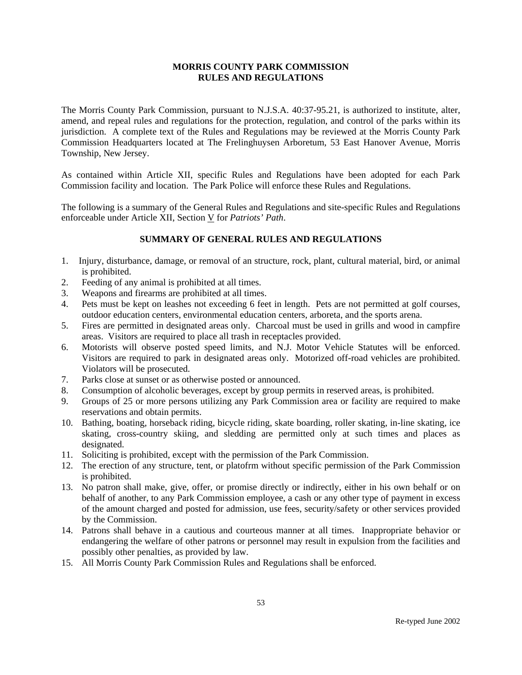The Morris County Park Commission, pursuant to N.J.S.A. 40:37-95.21, is authorized to institute, alter, amend, and repeal rules and regulations for the protection, regulation, and control of the parks within its jurisdiction. A complete text of the Rules and Regulations may be reviewed at the Morris County Park Commission Headquarters located at The Frelinghuysen Arboretum, 53 East Hanover Avenue, Morris Township, New Jersey.

As contained within Article XII, specific Rules and Regulations have been adopted for each Park Commission facility and location. The Park Police will enforce these Rules and Regulations.

The following is a summary of the General Rules and Regulations and site-specific Rules and Regulations enforceable under Article XII, Section V for *Patriots' Path*.

- 1. Injury, disturbance, damage, or removal of an structure, rock, plant, cultural material, bird, or animal is prohibited.
- 2. Feeding of any animal is prohibited at all times.
- 3. Weapons and firearms are prohibited at all times.
- 4. Pets must be kept on leashes not exceeding 6 feet in length. Pets are not permitted at golf courses, outdoor education centers, environmental education centers, arboreta, and the sports arena.
- 5. Fires are permitted in designated areas only. Charcoal must be used in grills and wood in campfire areas. Visitors are required to place all trash in receptacles provided.
- 6. Motorists will observe posted speed limits, and N.J. Motor Vehicle Statutes will be enforced. Visitors are required to park in designated areas only. Motorized off-road vehicles are prohibited. Violators will be prosecuted.
- 7. Parks close at sunset or as otherwise posted or announced.
- 8. Consumption of alcoholic beverages, except by group permits in reserved areas, is prohibited.
- 9. Groups of 25 or more persons utilizing any Park Commission area or facility are required to make reservations and obtain permits.
- 10. Bathing, boating, horseback riding, bicycle riding, skate boarding, roller skating, in-line skating, ice skating, cross-country skiing, and sledding are permitted only at such times and places as designated.
- 11. Soliciting is prohibited, except with the permission of the Park Commission.
- 12. The erection of any structure, tent, or platofrm without specific permission of the Park Commission is prohibited.
- 13. No patron shall make, give, offer, or promise directly or indirectly, either in his own behalf or on behalf of another, to any Park Commission employee, a cash or any other type of payment in excess of the amount charged and posted for admission, use fees, security/safety or other services provided by the Commission.
- 14. Patrons shall behave in a cautious and courteous manner at all times. Inappropriate behavior or endangering the welfare of other patrons or personnel may result in expulsion from the facilities and possibly other penalties, as provided by law.
- 15. All Morris County Park Commission Rules and Regulations shall be enforced.